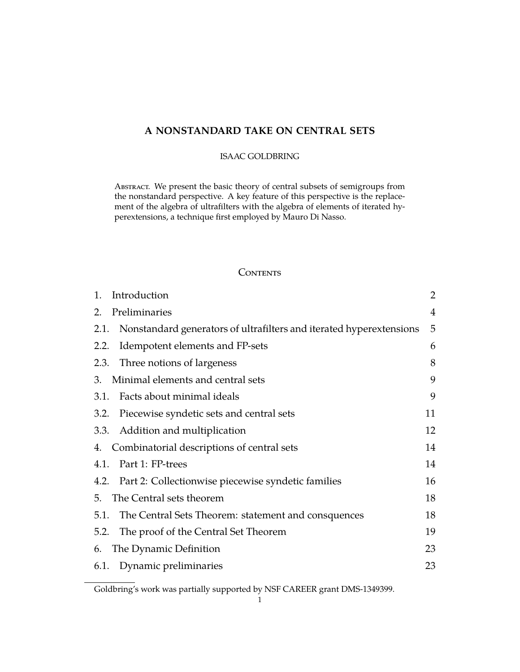# **A NONSTANDARD TAKE ON CENTRAL SETS**

## ISAAC GOLDBRING

Abstract. We present the basic theory of central subsets of semigroups from the nonstandard perspective. A key feature of this perspective is the replacement of the algebra of ultrafilters with the algebra of elements of iterated hyperextensions, a technique first employed by Mauro Di Nasso.

# **CONTENTS**

| 1.   | Introduction                                                             | 2              |
|------|--------------------------------------------------------------------------|----------------|
| 2.   | Preliminaries                                                            | $\overline{4}$ |
|      | 2.1. Nonstandard generators of ultrafilters and iterated hyperextensions | 5              |
|      | 2.2. Idempotent elements and FP-sets                                     | 6              |
|      | 2.3. Three notions of largeness                                          | 8              |
|      | 3. Minimal elements and central sets                                     | 9              |
|      | 3.1. Facts about minimal ideals                                          | 9              |
|      | 3.2. Piecewise syndetic sets and central sets                            | 11             |
|      | 3.3. Addition and multiplication                                         | 12             |
|      | 4. Combinatorial descriptions of central sets                            | 14             |
|      | 4.1. Part 1: FP-trees                                                    | 14             |
|      | 4.2. Part 2: Collectionwise piecewise syndetic families                  | 16             |
|      | 5. The Central sets theorem                                              | 18             |
|      | 5.1. The Central Sets Theorem: statement and consquences                 | 18             |
| 5.2. | The proof of the Central Set Theorem                                     | 19             |
|      | 6. The Dynamic Definition                                                | 23             |
|      | 6.1. Dynamic preliminaries                                               | 23             |

Goldbring's work was partially supported by NSF CAREER grant DMS-1349399.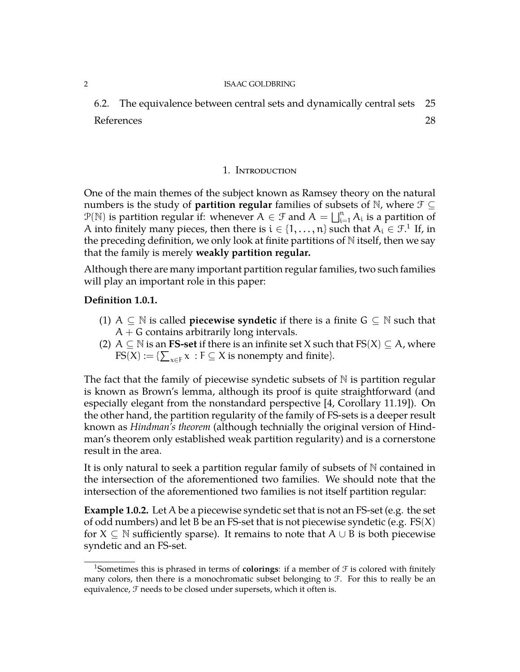[6.2. The equivalence between central sets and dynamically central sets](#page-24-0) 25 [References](#page-27-0) 28

## 1. Introduction

<span id="page-1-0"></span>One of the main themes of the subject known as Ramsey theory on the natural numbers is the study of **partition regular** families of subsets of N, where  $\mathcal{F} \subseteq$  $P(\mathbb{N})$  is partition regular if: whenever  $A \in \mathcal{F}$  and  $A = \bigsqcup_{i=1}^n A_i$  is a partition of A into finitely many pieces, then there is  $\mathfrak{i}\in\{1,\ldots,\mathfrak{n}\}$  $\mathfrak{i}\in\{1,\ldots,\mathfrak{n}\}$  $\mathfrak{i}\in\{1,\ldots,\mathfrak{n}\}$  such that  $\mathcal{A}_\mathfrak{i}\in\mathfrak{I}.^1$  If, in the preceding definition, we only look at finite partitions of  $N$  itself, then we say that the family is merely **weakly partition regular.**

Although there are many important partition regular families, two such families will play an important role in this paper:

## **Definition 1.0.1.**

- (1) A  $\subseteq$  N is called **piecewise syndetic** if there is a finite  $G \subseteq N$  such that  $A + G$  contains arbitrarily long intervals.
- (2) A  $\subseteq$  N is an **FS-set** if there is an infinite set X such that  $FS(X) \subseteq A$ , where  $FS(X) := \{ \sum_{x \in F} x : F \subseteq X \text{ is nonempty and finite} \}.$

The fact that the family of piecewise syndetic subsets of  $N$  is partition regular is known as Brown's lemma, although its proof is quite straightforward (and especially elegant from the nonstandard perspective [\[4,](#page-27-1) Corollary 11.19]). On the other hand, the partition regularity of the family of FS-sets is a deeper result known as *Hindman's theorem* (although technially the original version of Hindman's theorem only established weak partition regularity) and is a cornerstone result in the area.

It is only natural to seek a partition regular family of subsets of N contained in the intersection of the aforementioned two families. We should note that the intersection of the aforementioned two families is not itself partition regular:

**Example 1.0.2.** Let A be a piecewise syndetic set that is not an FS-set (e.g. the set of odd numbers) and let B be an FS-set that is not piecewise syndetic (e.g.  $FS(X)$ for  $X \subseteq \mathbb{N}$  sufficiently sparse). It remains to note that  $A \cup B$  is both piecewise syndetic and an FS-set.

<span id="page-1-1"></span><sup>&</sup>lt;sup>1</sup>Sometimes this is phrased in terms of **colorings**: if a member of  $\mathcal F$  is colored with finitely many colors, then there is a monochromatic subset belonging to  $\mathcal F$ . For this to really be an equivalence, F needs to be closed under supersets, which it often is.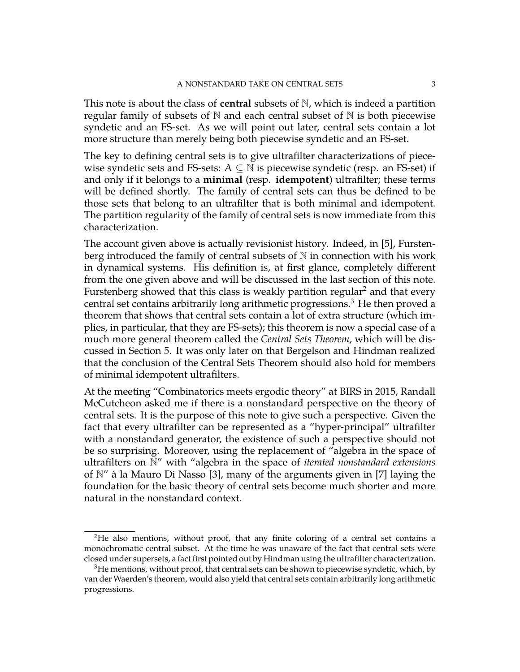This note is about the class of **central** subsets of N, which is indeed a partition regular family of subsets of  $N$  and each central subset of  $N$  is both piecewise syndetic and an FS-set. As we will point out later, central sets contain a lot more structure than merely being both piecewise syndetic and an FS-set.

The key to defining central sets is to give ultrafilter characterizations of piecewise syndetic sets and FS-sets:  $A \subseteq \mathbb{N}$  is piecewise syndetic (resp. an FS-set) if and only if it belongs to a **minimal** (resp. **idempotent**) ultrafilter; these terms will be defined shortly. The family of central sets can thus be defined to be those sets that belong to an ultrafilter that is both minimal and idempotent. The partition regularity of the family of central sets is now immediate from this characterization.

The account given above is actually revisionist history. Indeed, in [\[5\]](#page-27-2), Furstenberg introduced the family of central subsets of  $\mathbb N$  in connection with his work in dynamical systems. His definition is, at first glance, completely different from the one given above and will be discussed in the last section of this note. Furstenberg showed that this class is weakly partition regular<sup>[2](#page-2-0)</sup> and that every central set contains arbitrarily long arithmetic progressions.<sup>[3](#page-2-1)</sup> He then proved a theorem that shows that central sets contain a lot of extra structure (which implies, in particular, that they are FS-sets); this theorem is now a special case of a much more general theorem called the *Central Sets Theorem*, which will be discussed in Section 5. It was only later on that Bergelson and Hindman realized that the conclusion of the Central Sets Theorem should also hold for members of minimal idempotent ultrafilters.

At the meeting "Combinatorics meets ergodic theory" at BIRS in 2015, Randall McCutcheon asked me if there is a nonstandard perspective on the theory of central sets. It is the purpose of this note to give such a perspective. Given the fact that every ultrafilter can be represented as a "hyper-principal" ultrafilter with a nonstandard generator, the existence of such a perspective should not be so surprising. Moreover, using the replacement of "algebra in the space of ultrafilters on N" with "algebra in the space of *iterated nonstandard extensions* of N" à la Mauro Di Nasso [\[3\]](#page-27-3), many of the arguments given in [\[7\]](#page-27-4) laying the foundation for the basic theory of central sets become much shorter and more natural in the nonstandard context.

<span id="page-2-0"></span><sup>&</sup>lt;sup>2</sup>He also mentions, without proof, that any finite coloring of a central set contains a monochromatic central subset. At the time he was unaware of the fact that central sets were closed under supersets, a fact first pointed out by Hindman using the ultrafilter characterization.

<span id="page-2-1"></span> $3$ He mentions, without proof, that central sets can be shown to piecewise syndetic, which, by van der Waerden's theorem, would also yield that central sets contain arbitrarily long arithmetic progressions.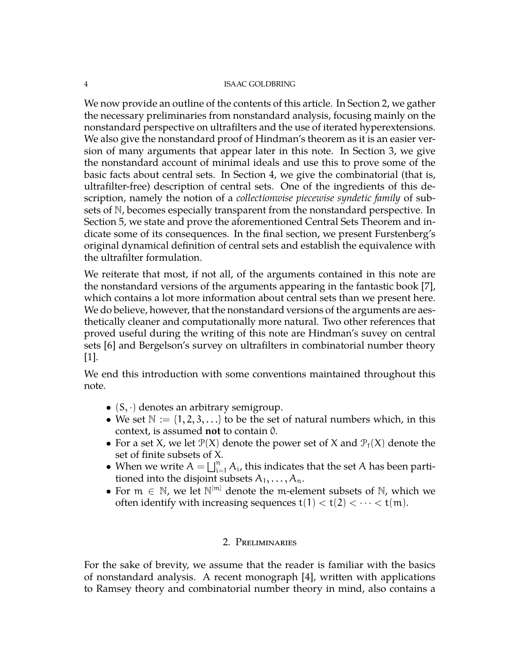We now provide an outline of the contents of this article. In Section 2, we gather the necessary preliminaries from nonstandard analysis, focusing mainly on the nonstandard perspective on ultrafilters and the use of iterated hyperextensions. We also give the nonstandard proof of Hindman's theorem as it is an easier version of many arguments that appear later in this note. In Section 3, we give the nonstandard account of minimal ideals and use this to prove some of the basic facts about central sets. In Section 4, we give the combinatorial (that is, ultrafilter-free) description of central sets. One of the ingredients of this description, namely the notion of a *collectionwise piecewise syndetic family* of subsets of N, becomes especially transparent from the nonstandard perspective. In Section 5, we state and prove the aforementioned Central Sets Theorem and indicate some of its consequences. In the final section, we present Furstenberg's original dynamical definition of central sets and establish the equivalence with the ultrafilter formulation.

We reiterate that most, if not all, of the arguments contained in this note are the nonstandard versions of the arguments appearing in the fantastic book [\[7\]](#page-27-4), which contains a lot more information about central sets than we present here. We do believe, however, that the nonstandard versions of the arguments are aesthetically cleaner and computationally more natural. Two other references that proved useful during the writing of this note are Hindman's suvey on central sets [\[6\]](#page-27-5) and Bergelson's survey on ultrafilters in combinatorial number theory  $|1|$ .

We end this introduction with some conventions maintained throughout this note.

- $(S, \cdot)$  denotes an arbitrary semigroup.
- We set  $\mathbb{N} := \{1, 2, 3, \ldots\}$  to be the set of natural numbers which, in this context, is assumed **not** to contain 0.
- For a set X, we let  $\mathcal{P}(X)$  denote the power set of X and  $\mathcal{P}_f(X)$  denote the set of finite subsets of X.
- When we write  $A = \bigsqcup_{i=1}^n A_i$ , this indicates that the set A has been partitioned into the disjoint subsets  $A_1, \ldots, A_n$ .
- For  $m \in \mathbb{N}$ , we let  $\mathbb{N}^{[m]}$  denote the m-element subsets of  $\mathbb{N}$ , which we often identify with increasing sequences  $t(1) < t(2) < \cdots < t(m)$ .

# 2. Preliminaries

<span id="page-3-0"></span>For the sake of brevity, we assume that the reader is familiar with the basics of nonstandard analysis. A recent monograph [\[4\]](#page-27-1), written with applications to Ramsey theory and combinatorial number theory in mind, also contains a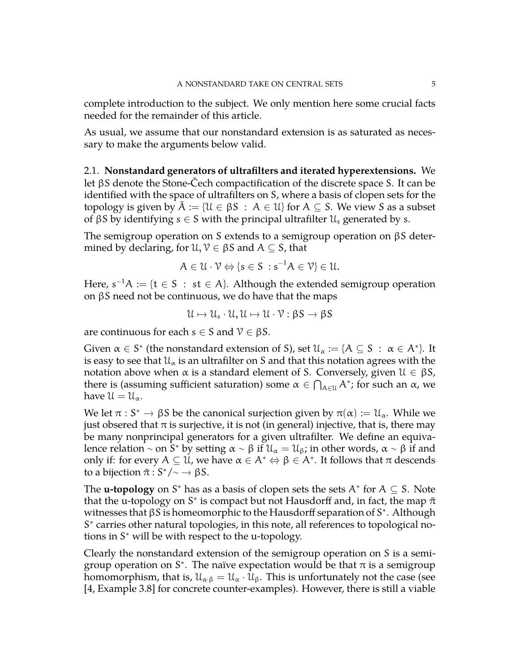complete introduction to the subject. We only mention here some crucial facts needed for the remainder of this article.

As usual, we assume that our nonstandard extension is as saturated as necessary to make the arguments below valid.

<span id="page-4-0"></span>2.1. **Nonstandard generators of ultrafilters and iterated hyperextensions.** We let βS denote the Stone-Čech compactification of the discrete space S. It can be identified with the space of ultrafilters on S, where a basis of clopen sets for the topology is given by  $A := \{U \in \beta S : A \in U\}$  for  $A \subseteq S$ . We view S as a subset of βS by identifying  $s \in S$  with the principal ultrafilter  $\mathcal{U}_s$  generated by s.

The semigroup operation on S extends to a semigroup operation on βS determined by declaring, for  $\mathcal{U}, \mathcal{V} \in \beta S$  and  $A \subseteq S$ , that

$$
A\in\mathcal{U}\cdot\mathcal{V}\Leftrightarrow \{s\in S\,:s^{-1}A\in\mathcal{V}\}\in\mathcal{U}.
$$

Here,  $s^{-1}A := \{t \in S \; : \; st \in A\}$ . Although the extended semigroup operation on βS need not be continuous, we do have that the maps

$$
\mathcal{U}\mapsto\mathcal{U}_s\cdot\mathcal{U},\mathcal{U}\mapsto\mathcal{U}\cdot\mathcal{V}:\beta S\rightarrow\beta S
$$

are continuous for each  $s \in S$  and  $\mathcal{V} \in \beta S$ .

Given  $\alpha \in S^*$  (the nonstandard extension of S), set  $\mathcal{U}_\alpha := \{A \subseteq S \; : \; \alpha \in A^*\}$ . It is easy to see that  $\mathfrak{U}_{\alpha}$  is an ultrafilter on S and that this notation agrees with the notation above when  $\alpha$  is a standard element of S. Conversely, given  $\mathfrak{U} \in \beta S$ , there is (assuming sufficient saturation) some  $\alpha \in \bigcap_{A \in \mathcal{U}} A^*$ ; for such an  $\alpha$ , we have  $\mathfrak{U} = \mathfrak{U}_{\alpha}$ .

We let  $\pi: S^* \to \beta S$  be the canonical surjection given by  $\pi(\alpha) := \mathcal{U}_{\alpha}$ . While we were interesting that  $\pi$  is approximation it is not (in approximal) injective, that is there may just obsered that  $\pi$  is surjective, it is not (in general) injective, that is, there may be many nonprincipal generators for a given ultrafilter. We define an equivalence relation ~ on  $\bar{S}^*$  by setting  $\alpha \sim \beta$  if  $\mathcal{U}_\alpha = \mathcal{U}_\beta$ ; in other words,  $\alpha \sim \beta$  if and only if: for every  $A \subseteq U$ , we have  $\alpha \in A^* \Leftrightarrow \beta \in A^*$ . It follows that  $\pi$  descends to a bijection  $\bar{\pi}: S^*/\sim \rightarrow \beta S$ .

The **u-topology** on S<sup>\*</sup> has as a basis of clopen sets the sets  $A^*$  for  $A \subseteq S$ . Note that the u-topology on S<sup>\*</sup> is compact but not Hausdorff and, in fact, the map  $\bar{\pi}$ witnesses that βS is homeomorphic to the Hausdorff separation of S<sup>\*</sup>. Although S<sup>\*</sup> carries other natural topologies, in this note, all references to topological notions in S <sup>∗</sup> will be with respect to the u-topology.

Clearly the nonstandard extension of the semigroup operation on S is a semigroup operation on S<sup>\*</sup>. The naïve expectation would be that  $\pi$  is a semigroup homomorphism, that is,  $\mathfrak{U}_{\alpha \cdot \beta} = \mathfrak{U}_{\alpha} \cdot \mathfrak{U}_{\beta}$ . This is unfortunately not the case (see [\[4,](#page-27-1) Example 3.8] for concrete counter-examples). However, there is still a viable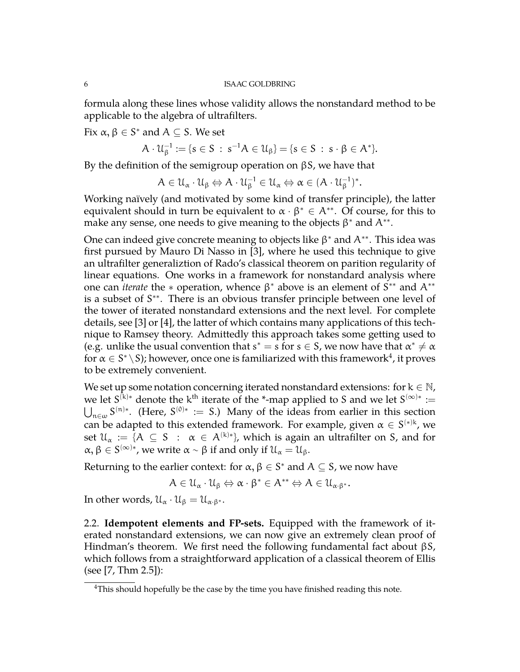formula along these lines whose validity allows the nonstandard method to be applicable to the algebra of ultrafilters.

Fix  $\alpha, \beta \in S^*$  and  $A \subseteq S$ . We set

$$
A\cdot \mathcal{U}_\beta^{-1}:=\{s\in S\;:\;s^{-1}A\in \mathcal{U}_\beta\}=\{s\in S\;:\;s\cdot \beta\in A^*\}.
$$

By the definition of the semigroup operation on  $βS$ , we have that

$$
A\in\mathcal{U}_{\alpha}\cdot\mathcal{U}_{\beta}\Leftrightarrow A\cdot\mathcal{U}_{\beta}^{-1}\in\mathcal{U}_{\alpha}\Leftrightarrow\alpha\in(A\cdot\mathcal{U}_{\beta}^{-1})^*.
$$

Working naïvely (and motivated by some kind of transfer principle), the latter equivalent should in turn be equivalent to  $\alpha \cdot \beta^* \in A^{**}$ . Of course, for this to make any sense, one needs to give meaning to the objects  $\beta^*$  and  $A^{**}$ .

One can indeed give concrete meaning to objects like  $\beta^*$  and  $A^{**}$ . This idea was first pursued by Mauro Di Nasso in [\[3\]](#page-27-3), where he used this technique to give an ultrafilter generaliztion of Rado's classical theorem on parition regularity of linear equations. One works in a framework for nonstandard analysis where one can *iterate* the  $*$  operation, whence  $\beta^*$  above is an element of  $S^{**}$  and  $A^{**}$ is a subset of S<sup>\*\*</sup>. There is an obvious transfer principle between one level of the tower of iterated nonstandard extensions and the next level. For complete details, see [\[3\]](#page-27-3) or [\[4\]](#page-27-1), the latter of which contains many applications of this technique to Ramsey theory. Admittedly this approach takes some getting used to (e.g. unlike the usual convention that  $s^* = s$  for  $s \in S$ , we now have that  $\alpha^* \neq \alpha$ for  $\alpha \in S^* \setminus S$ ); however, once one is familiarized with this framework $^4$  $^4$ , it proves to be extremely convenient.

We set up some notation concerning iterated nonstandard extensions: for  $k \in \mathbb{N}$ , we let S<sup>(k)</sup>\* denote the k<sup>th</sup> iterate of the \*-map applied to S and we let S<sup>(∞)\*</sup> :=  $\bigcup_{n\in\omega}S^{(n)*}$ . (Here, S<sup>(0)∗</sup> := S.) Many of the ideas from earlier in this section can be adapted to this extended framework. For example, given  $\alpha \in S^{(*)k}$ , we set  $\mathcal{U}_\alpha := \{A \subseteq S \; : \; \alpha \in A^{(k)*}\}\$ , which is again an ultrafilter on S, and for  $\alpha, \beta \in S^{(\infty)*}$ , we write  $\alpha \sim \beta$  if and only if  $\mathfrak{U}_{\alpha} = \mathfrak{U}_{\beta}$ .

Returning to the earlier context: for  $\alpha, \beta \in S^*$  and  $A \subseteq S$ , we now have

$$
A\in \mathcal{U}_\alpha\cdot \mathcal{U}_\beta \Leftrightarrow \alpha\cdot \beta^*\in A^{**} \Leftrightarrow A\in \mathcal{U}_{\alpha\cdot \beta^*}.
$$

In other words,  $\mathfrak{U}_{\alpha} \cdot \mathfrak{U}_{\beta} = \mathfrak{U}_{\alpha \cdot \beta^*}.$ 

<span id="page-5-0"></span>2.2. **Idempotent elements and FP-sets.** Equipped with the framework of iterated nonstandard extensions, we can now give an extremely clean proof of Hindman's theorem. We first need the following fundamental fact about βS, which follows from a straightforward application of a classical theorem of Ellis (see [\[7,](#page-27-4) Thm 2.5]):

<span id="page-5-1"></span><sup>&</sup>lt;sup>4</sup>This should hopefully be the case by the time you have finished reading this note.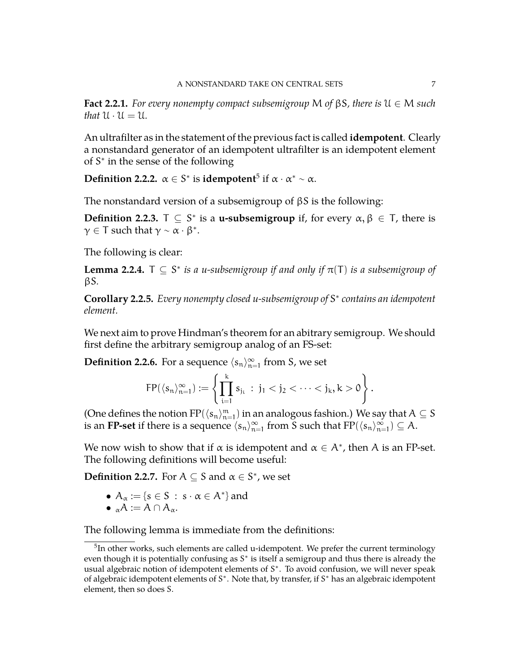**Fact 2.2.1.** *For every nonempty compact subsemigroup* M *of* βS*, there is* U ∈ M *such that*  $U \cdot U = U$ .

An ultrafilter as in the statement of the previous fact is called **idempotent**. Clearly a nonstandard generator of an idempotent ultrafilter is an idempotent element of S<sup>\*</sup> in the sense of the following

**Definition 2.2.2.**  $\alpha \in S^*$  is **idempotent**<sup>[5](#page-6-0)</sup> if  $\alpha \cdot \alpha^* \sim \alpha$ .

The nonstandard version of a subsemigroup of βS is the following:

**Definition 2.2.3.**  $T \subseteq S^*$  is a **u-subsemigroup** if, for every  $\alpha, \beta \in T$ , there is  $\gamma \in T$  such that  $\gamma \sim \alpha \cdot \beta^*$ .

The following is clear:

**Lemma 2.2.4.**  $\top \subseteq S^*$  *is a u-subsemigroup if and only if*  $\pi(\top)$  *is a subsemigroup of* βS*.*

**Corollary 2.2.5.** *Every nonempty closed u-subsemigroup of* S ∗ *contains an idempotent element.*

We next aim to prove Hindman's theorem for an abitrary semigroup. We should first define the arbitrary semigroup analog of an FS-set:

**Definition 2.2.6.** For a sequence  $\langle s_n\rangle_{n=1}^\infty$  from S, we set

$$
FP(\langle s_n\rangle_{n=1}^\infty):=\left\{\prod_{i=1}^k s_{j_i}\ :\ j_1< j_2<\cdots< j_k, k>0\right\}.
$$

(One defines the notion  $FP(\langle s_n\rangle_{n=1}^m)$  in an analogous fashion.) We say that  $A\subseteq S$ is an **FP-set** if there is a sequence  $\langle s_n\rangle_{n=1}^\infty$  from S such that  $\mathrm{FP}(\langle s_n\rangle_{n=1}^\infty)\subseteq A.$ 

We now wish to show that if  $\alpha$  is idempotent and  $\alpha \in A^*$ , then A is an FP-set. The following definitions will become useful:

**Definition 2.2.7.** For  $A \subseteq S$  and  $\alpha \in S^*$ , we set

- $A_{\alpha} := \{s \in S : s \cdot \alpha \in A^*\}\$ and
- $_{\alpha}A := A \cap A_{\alpha}$ .

The following lemma is immediate from the definitions:

<span id="page-6-0"></span> $5$ In other works, such elements are called u-idempotent. We prefer the current terminology even though it is potentially confusing as S<sup>\*</sup> is itself a semigroup and thus there is already the usual algebraic notion of idempotent elements of S<sup>\*</sup>. To avoid confusion, we will never speak of algebraic idempotent elements of S<sup>\*</sup>. Note that, by transfer, if S<sup>\*</sup> has an algebraic idempotent element, then so does S.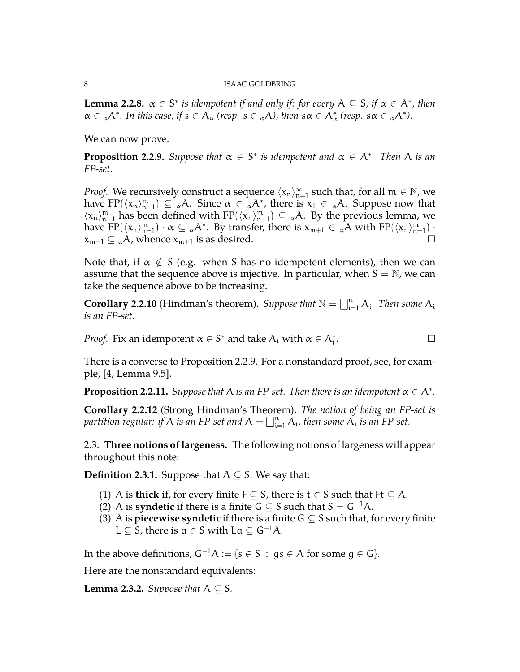**Lemma 2.2.8.**  $\alpha \in S^*$  *is idempotent if and only if: for every*  $A \subseteq S$ *, if*  $\alpha \in A^*$ *, then*  $\alpha \in {}_{\alpha}A^*$ . In this case, if  $s \in A_{\alpha}$  (resp.  $s \in {}_{\alpha}A$ ), then  $s\alpha \in A_{\alpha}^*$  (resp.  $s\alpha \in {}_{\alpha}A^*$ ).

We can now prove:

<span id="page-7-1"></span>**Proposition 2.2.9.** Suppose that  $\alpha \in S^*$  is idempotent and  $\alpha \in A^*$ . Then A is an *FP-set.*

*Proof.* We recursively construct a sequence  $\langle x_n \rangle_{n=1}^{\infty}$  such that, for all  $m \in \mathbb{N}$ , we have FP( $\langle x_n \rangle_{n=1}^m$ )  $\subseteq \alpha A$ . Since  $\alpha \in \alpha A^*$ , there is  $x_1 \in \alpha A$ . Suppose now that  $\langle x_n \rangle_{n=1}^m$  has been defined with  $FP(\langle x_n \rangle_{n=1}^m) \subseteq \alpha A$ . By the previous lemma, we have  $\text{FP}(\langle x_n \rangle_{n=1}^m) \cdot \alpha \subseteq {}_{\alpha}A^*$ . By transfer, there is  $x_{m+1} \in {}_{\alpha}A$  with  $\text{FP}(\langle x_n \rangle_{n=1}^m)$ .  $x_{m+1} \subseteq \alpha A$ , whence  $x_{m+1}$  is as desired.

Note that, if  $\alpha \notin S$  (e.g. when S has no idempotent elements), then we can assume that the sequence above is injective. In particular, when  $S = N$ , we can take the sequence above to be increasing.

**Corollary 2.2.10** (Hindman's theorem). Suppose that  $\mathbb{N} = \bigsqcup_{i=1}^n A_i$ . Then some  $A_i$ *is an FP-set.*

*Proof.* Fix an idempotent  $\alpha \in S^*$  and take  $A_i$  with  $\alpha \in A_i^*$ .

There is a converse to Proposition [2.2.9.](#page-7-1) For a nonstandard proof, see, for example, [\[4,](#page-27-1) Lemma 9.5].

**Proposition 2.2.11.** Suppose that A is an FP-set. Then there is an idempotent  $\alpha \in A^*$ .

**Corollary 2.2.12** (Strong Hindman's Theorem)**.** *The notion of being an FP-set is* partition regular: if A is an FP-set and  $A = \bigsqcup_{i=1}^n A_i$ , then some  $\overline{A_i}$  is an FP-set.

<span id="page-7-0"></span>2.3. **Three notions of largeness.** The following notions of largeness will appear throughout this note:

**Definition 2.3.1.** Suppose that  $A \subseteq S$ . We say that:

- (1) A is **thick** if, for every finite  $F \subseteq S$ , there is  $t \in S$  such that  $Ft \subseteq A$ .
- (2) A is **syndetic** if there is a finite  $G \subseteq S$  such that  $S = G^{-1}A$ .
- (3) A is **piecewise syndetic** if there is a finite  $G \subseteq S$  such that, for every finite L  $\subseteq$  S, there is  $a \in S$  with La  $\subseteq$  G<sup>-1</sup>A.

In the above definitions,  $G^{-1}A := \{s \in S : gs \in A \text{ for some } g \in G\}.$ 

Here are the nonstandard equivalents:

**Lemma 2.3.2.** *Suppose that*  $A \subseteq S$ *.*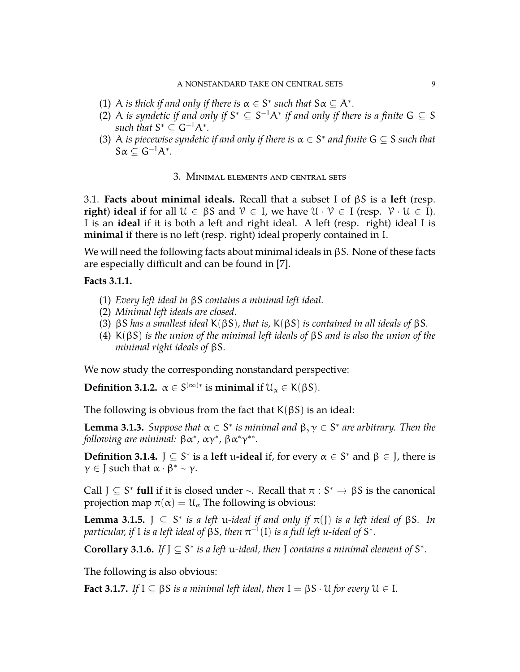- (1) A *is thick if and only if there is*  $\alpha \in S^*$  *such that*  $S\alpha \subseteq A^*$ *.*
- (2) A *is syndetic if and only if*  $S^* \subseteq S^{-1}A^*$  *if and only if there is a finite*  $G \subseteq S$ such that  $S^* \subseteq G^{-1}A^*$ .
- (3) A *is piecewise syndetic if and only if there is*  $\alpha \in S^*$  *and finite*  $G \subseteq S$  *such that*  $S\alpha \subseteq G^{-1}A^*$ .

## 3. Minimal elements and central sets

<span id="page-8-1"></span><span id="page-8-0"></span>3.1. **Facts about minimal ideals.** Recall that a subset I of βS is a **left** (resp. **right**) **ideal** if for all  $U \in \beta S$  and  $V \in I$ , we have  $U \cdot V \in I$  (resp.  $V \cdot U \in I$ ). I is an **ideal** if it is both a left and right ideal. A left (resp. right) ideal I is **minimal** if there is no left (resp. right) ideal properly contained in I.

We will need the following facts about minimal ideals in βS. None of these facts are especially difficult and can be found in [\[7\]](#page-27-4).

# **Facts 3.1.1.**

- (1) *Every left ideal in* βS *contains a minimal left ideal.*
- (2) *Minimal left ideals are closed.*
- (3) βS *has a smallest ideal* K(βS)*, that is,* K(βS) *is contained in all ideals of* βS*.*
- (4) K(βS) *is the union of the minimal left ideals of* βS *and is also the union of the minimal right ideals of* βS*.*

We now study the corresponding nonstandard perspective:

**Definition 3.1.2.**  $\alpha \in S^{(\infty)*}$  is **minimal** if  $\mathcal{U}_{\alpha} \in K(\beta S)$ .

The following is obvious from the fact that  $K(\beta S)$  is an ideal:

**Lemma 3.1.3.** *Suppose that*  $\alpha \in S^*$  *is minimal and*  $\beta, \gamma \in S^*$  *are arbitrary. Then the following are minimal:*  $\beta \alpha^*$ ,  $\alpha \gamma^*$ ,  $\beta \alpha^* \gamma^{**}$ .

**Definition 3.1.4.**  $J \subseteq S^*$  is a **left** u**-ideal** if, for every  $\alpha \in S^*$  and  $\beta \in J$ , there is  $\gamma \in J$  such that  $\alpha \cdot \beta^* \sim \gamma$ .

Call  $J \subseteq S^*$  **full** if it is closed under ∼. Recall that  $\pi : S^* \to \beta S$  is the canonical proposition map  $\pi(x) = \mathcal{U}$ . The following is abstigated projection map  $\pi(\alpha) = U_{\alpha}$  The following is obvious:

**Lemma 3.1.5.**  $\int$   $\subseteq$   $S^*$  *is a left u-ideal if and only if*  $\pi(\int)$  *is a left ideal of*  $\beta S$ *. In* particular, if I is a left ideal of  $\beta S$ , then  $\pi^{-1}(\mathrm{I})$  is a full left u-ideal of  $\mathsf{S}^*$ .

**Corollary 3.1.6.** If  $J \subseteq S^*$  is a left u-ideal, then  $J$  contains a minimal element of  $S^*$ .

The following is also obvious:

**Fact 3.1.7.** *If*  $I \subseteq \beta S$  *is a minimal left ideal, then*  $I = \beta S \cdot U$  *for every*  $U \in I$ *.*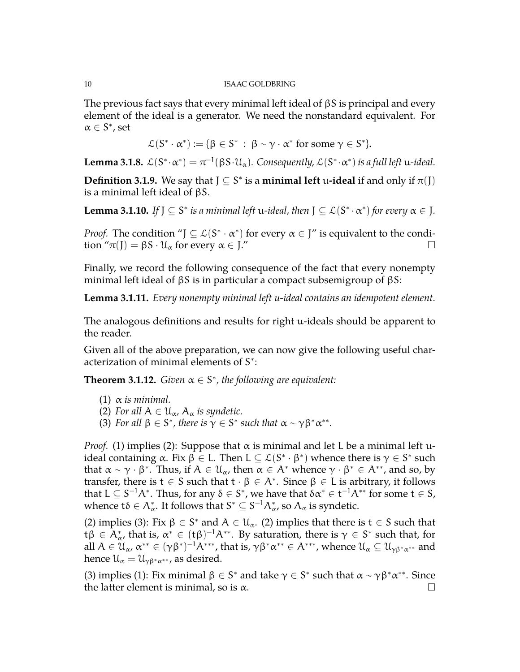The previous fact says that every minimal left ideal of  $\beta S$  is principal and every element of the ideal is a generator. We need the nonstandard equivalent. For  $\alpha \in S^*$ , set

$$
\mathcal{L}(S^*\cdot \alpha^*):=\{\beta\in S^*\;:\; \beta\sim \gamma\cdot \alpha^*\text{ for some }\gamma\in S^*\}.
$$

**Lemma 3.1.8.**  $\mathcal{L}(S^*\cdot \alpha^*) = \pi^{-1}(\beta S \cdot \mathcal{U}_\alpha)$ . Consequently,  $\mathcal{L}(S^*\cdot \alpha^*)$  is a full left u-ideal.

**Definition 3.1.9.** We say that  $J \subseteq S^*$  is a **minimal left** u-ideal if and only if  $\pi(J)$ is a minimal left ideal of βS.

**Lemma 3.1.10.** If  $J \subseteq S^*$  is a minimal left u-ideal, then  $J \subseteq L(S^* \cdot \alpha^*)$  for every  $\alpha \in J$ .

*Proof.* The condition " $J \subseteq L(S^* \cdot \alpha^*)$  for every  $\alpha \in J$ " is equivalent to the condition " $\pi(J) = \beta S \cdot \mathcal{U}_{\alpha}$  for every  $\alpha \in J''$ 

Finally, we record the following consequence of the fact that every nonempty minimal left ideal of  $\beta S$  is in particular a compact subsemigroup of  $\beta S$ :

**Lemma 3.1.11.** *Every nonempty minimal left u-ideal contains an idempotent element.*

The analogous definitions and results for right u-ideals should be apparent to the reader.

Given all of the above preparation, we can now give the following useful characterization of minimal elements of S<sup>\*</sup>:

<span id="page-9-0"></span>**Theorem 3.1.12.** *Given*  $\alpha \in S^*$ , *the following are equivalent:* 

- (1)  $\alpha$  *is minimal.*
- (2) *For all*  $A \in \mathcal{U}_{\alpha}$ ,  $A_{\alpha}$  *is syndetic.*
- (3) *For all*  $\beta \in S^*$ , *there is*  $\gamma \in S^*$  *such that*  $\alpha \sim \gamma \beta^* \alpha^{**}$ *.*

*Proof.* (1) implies (2): Suppose that  $\alpha$  is minimal and let L be a minimal left uideal containing α. Fix  $\beta \in L$ . Then  $L \subseteq \mathcal{L}(S^* \cdot \beta^*)$  whence there is  $\gamma \in S^*$  such that  $\alpha \sim \gamma \cdot \beta^*$ . Thus, if  $A \in \mathcal{U}_\alpha$ , then  $\alpha \in A^*$  whence  $\gamma \cdot \beta^* \in A^{**}$ , and so, by transfer, there is  $t \in S$  such that  $t \cdot \beta \in A^*$ . Since  $\beta \in L$  is arbitrary, it follows that  $L\subseteq S^{-1}A^*.$  Thus, for any  $\delta\in S^*.$  we have that  $\delta\alpha^*\in \mathsf{t}^{-1}A^{**}$  for some  $\mathsf{t}\in \mathsf{S},$ whence t $\delta \in A^*_\alpha$ . It follows that  $S^* \subseteq S^{-1}A^*_{\alpha}$ , so  $A_\alpha$  is syndetic.

(2) implies (3): Fix  $\beta \in S^*$  and  $A \in \mathcal{U}_{\alpha}$ . (2) implies that there is  $t \in S$  such that tβ  $\in$   $A^*_{\alpha}$ , that is,  $\alpha^* \in (t\beta)^{-1}A^{**}$ . By saturation, there is  $\gamma \in S^*$  such that, for all  $A\in\mathcal{U}_\alpha$ ,  $\alpha^{**}\in (\gamma\beta^*)^{-1}A^{***}$ , that is,  $\gamma\beta^*\alpha^{**}\in A^{***}$ , whence  $\mathcal{U}_\alpha\subseteq\mathcal{U}_{\gamma\beta^*\alpha^{**}}$  and hence  $\mathfrak{U}_{\alpha} = \mathfrak{U}_{\gamma\beta^*\alpha^{**}}$ , as desired.

(3) implies (1): Fix minimal  $\beta \in S^*$  and take  $\gamma \in S^*$  such that  $\alpha \sim \gamma \beta^* \alpha^{**}$ . Since the latter element is minimal, so is  $\alpha$ .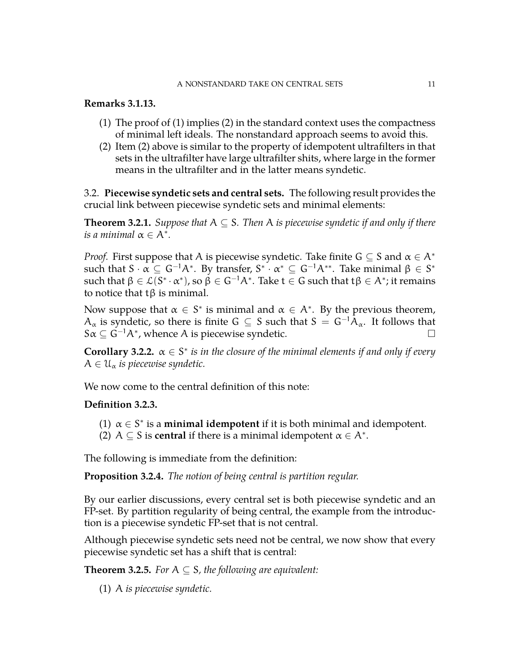### A NONSTANDARD TAKE ON CENTRAL SETS 11

## **Remarks 3.1.13.**

- (1) The proof of (1) implies (2) in the standard context uses the compactness of minimal left ideals. The nonstandard approach seems to avoid this.
- (2) Item (2) above is similar to the property of idempotent ultrafilters in that sets in the ultrafilter have large ultrafilter shits, where large in the former means in the ultrafilter and in the latter means syndetic.

<span id="page-10-0"></span>3.2. **Piecewise syndetic sets and central sets.** The following result provides the crucial link between piecewise syndetic sets and minimal elements:

**Theorem 3.2.1.** *Suppose that*  $A \subseteq S$ *. Then* A *is piecewise syndetic if and only if there is a minimal*  $\alpha \in A^*$ .

*Proof.* First suppose that A is piecewise syndetic. Take finite  $G \subseteq S$  and  $\alpha \in A^*$ such that S  $\cdot\alpha\subseteq\mathsf{G}^{-1}\mathsf{A}^{*}.$  By transfer,  $\mathsf{S}^{*}\cdot\alpha^{*}\subseteq\mathsf{G}^{-1}\mathsf{A}^{**}.$  Take minimal  $\beta\in\mathsf{S}^{*}$ such that  $\beta\in\mathcal{L}(S^*\cdot\alpha^* )$ , so  $\beta\in G^{-1}A^*.$  Take  $\mathsf{t}\in G$  such that  $\mathsf{t}\beta\in A^*;$  it remains to notice that tβ is minimal.

Now suppose that  $\alpha \in S^*$  is minimal and  $\alpha \in A^*$ . By the previous theorem,  $A_{\alpha}$  is syndetic, so there is finite G  $\subseteq$  S such that  $S = G^{-1}A_{\alpha}$ . It follows that  $S\alpha \subseteq \tilde{G}^{-1}A^*$ , whence A is piecewise syndetic.  $\qquad \qquad \Box$ 

**Corollary 3.2.2.**  $\alpha \in S^*$  *is in the closure of the minimal elements if and only if every*  $A \in \mathfrak{U}_{\alpha}$  *is piecewise syndetic.* 

We now come to the central definition of this note:

# **Definition 3.2.3.**

- (1)  $\alpha \in S^*$  is a **minimal idempotent** if it is both minimal and idempotent.
- (2)  $A \subseteq S$  is **central** if there is a minimal idempotent  $\alpha \in A^*$ .

The following is immediate from the definition:

**Proposition 3.2.4.** *The notion of being central is partition regular.*

By our earlier discussions, every central set is both piecewise syndetic and an FP-set. By partition regularity of being central, the example from the introduction is a piecewise syndetic FP-set that is not central.

Although piecewise syndetic sets need not be central, we now show that every piecewise syndetic set has a shift that is central:

**Theorem 3.2.5.** *For*  $A \subseteq S$ *, the following are equivalent:* 

(1) A *is piecewise syndetic.*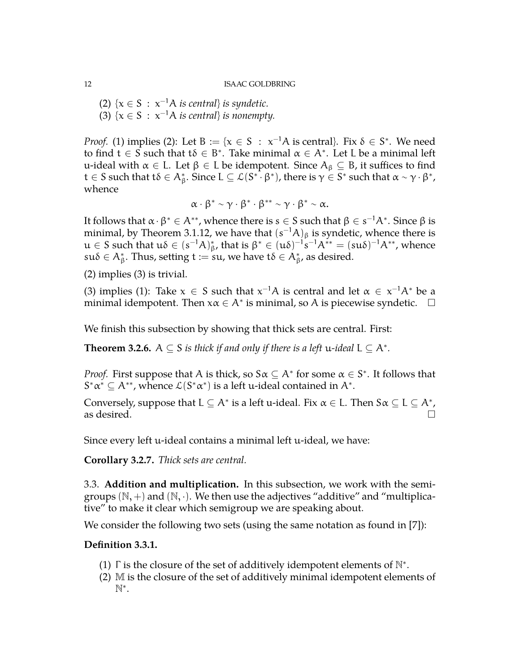(2)  $\{x \in S : x^{-1}A \text{ is central}\}$  *is syndetic.* (3)  $\{x \in S : x^{-1}A \text{ is central}\}$  *is nonempty.* 

*Proof.* (1) implies (2): Let  $B := \{x \in S : x^{-1}A \text{ is central}\}\$ . Fix  $\delta \in S^*$ . We need to find  $t \in S$  such that  $t\delta \in B^*$ . Take minimal  $\alpha \in A^*$ . Let L be a minimal left u-ideal with  $\alpha \in L$ . Let  $\beta \in L$  be idempotent. Since  $A_{\beta} \subseteq B$ , it suffices to find  $t\in S$  such that  $t\delta\in A^*_\beta.$  Since  $L\subseteq \mathcal{L}(S^{*\mathsf{T}}\!\cdot\beta^*)$ , there is  $\gamma\in S^*$  such that  $\alpha\sim\gamma\cdot\beta^*$ , whence

$$
\alpha \cdot \beta^* \sim \gamma \cdot \beta^* \cdot \beta^{**} \sim \gamma \cdot \beta^* \sim \alpha.
$$

It follows that  $\alpha\cdot\beta^*\in A^{**}$ , whence there is  $s\in S$  such that  $\beta\in s^{-1}A^*.$  Since  $\beta$  is minimal, by Theorem [3.1.12,](#page-9-0) we have that  $(s^{-1}A)_\beta$  is syndetic, whence there is  $u ∈ S$  such that  $uδ ∈ (s^{-1}A)_{β}^*$ , that is  $β^* ∈ (uδ)^{-1}s^{-1}A^{**} = (suδ)^{-1}A^{**}$ , whence  $\mathsf{su}\delta\in\mathsf{A}^*_\beta.$  Thus, setting  $\mathsf{t}:=\mathsf{su},$  we have  $\mathsf{t}\delta\in\mathsf{A}^*_\beta$ , as desired.

(2) implies (3) is trivial.

(3) implies (1): Take  $x \in S$  such that  $x^{-1}A$  is central and let  $\alpha \in x^{-1}A^*$  be a minimal idempotent. Then  $x\alpha \in A^*$  is minimal, so A is piecewise syndetic.  $\Box$ 

We finish this subsection by showing that thick sets are central. First:

**Theorem 3.2.6.**  $A \subseteq S$  *is thick if and only if there is a left* u-*ideal*  $L \subseteq A^*$ *.* 

*Proof.* First suppose that A is thick, so  $S\alpha \subseteq A^*$  for some  $\alpha \in S^*$ . It follows that  $S^*\alpha^* \subseteq A^{**}$ , whence  $\mathcal{L}(S^*\alpha^*)$  is a left u-ideal contained in  $A^*$ .

Conversely, suppose that  $L \subseteq A^*$  is a left u-ideal. Fix  $\alpha \in L$ . Then  $S \alpha \subseteq L \subseteq A^*$ , as desired.  $\Box$ 

Since every left u-ideal contains a minimal left u-ideal, we have:

**Corollary 3.2.7.** *Thick sets are central.*

<span id="page-11-0"></span>3.3. **Addition and multiplication.** In this subsection, we work with the semigroups  $(N,+)$  and  $(N, \cdot)$ . We then use the adjectives "additive" and "multiplicative" to make it clear which semigroup we are speaking about.

We consider the following two sets (using the same notation as found in [\[7\]](#page-27-4)):

## **Definition 3.3.1.**

- (1)  $\Gamma$  is the closure of the set of additively idempotent elements of  $\mathbb{N}^*$ .
- (2) M is the closure of the set of additively minimal idempotent elements of N ∗ .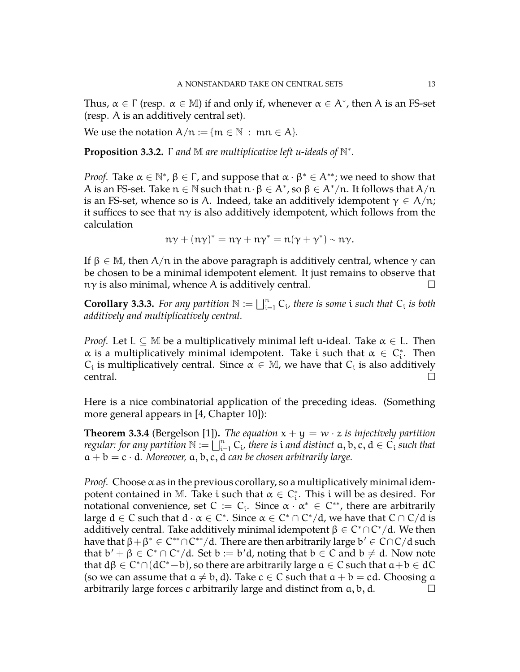Thus,  $\alpha \in \Gamma$  (resp.  $\alpha \in M$ ) if and only if, whenever  $\alpha \in A^*$ , then A is an FS-set (resp. A is an additively central set).

We use the notation  $A/n := \{m \in \mathbb{N} : mn \in A\}.$ 

**Proposition 3.3.2.** Γ *and* M *are multiplicative left u-ideals of* N ∗ *.*

*Proof.* Take  $\alpha \in \mathbb{N}^*$ ,  $\beta \in \Gamma$ , and suppose that  $\alpha \cdot \beta^* \in A^{**}$ ; we need to show that A is an FS-set. Take  $n \in \mathbb{N}$  such that  $n \cdot \beta \in A^*$ , so  $\beta \in A^*/n$ . It follows that  $A/n$ is an FS-set, whence so is A. Indeed, take an additively idempotent  $\gamma \in A/n$ ; it suffices to see that  $n\gamma$  is also additively idempotent, which follows from the calculation

$$
n\gamma + (n\gamma)^* = n\gamma + n\gamma^* = n(\gamma + \gamma^*) \sim n\gamma.
$$

If  $\beta \in M$ , then  $A/\pi$  in the above paragraph is additively central, whence  $\gamma$  can be chosen to be a minimal idempotent element. It just remains to observe that  $n\gamma$  is also minimal, whence A is additively central.

**Corollary 3.3.3.** For any partition  $\mathbb{N} := \bigsqcup_{i=1}^n C_i$ , there is some i such that  $C_i$  is both *additively and multiplicatively central.*

*Proof.* Let  $L \subset M$  be a multiplicatively minimal left u-ideal. Take  $\alpha \in L$ . Then  $\alpha$  is a multiplicatively minimal idempotent. Take i such that  $\alpha \in C_i^*$ . Then  $C_i$  is multiplicatively central. Since  $\alpha \in \mathbb{M}$ , we have that  $C_i$  is also additively  $\Gamma$  central.

Here is a nice combinatorial application of the preceding ideas. (Something more general appears in [\[4,](#page-27-1) Chapter 10]):

**Theorem 3.3.4** (Bergelson [\[1\]](#page-27-6)). *The equation*  $x + y = w \cdot z$  *is injectively partition regular: for any partition*  $\mathbb{N} := \coprod_{i=1}^{n} C_i$ , there is *i and distinct*  $a, b, c, d \in C_i$  *such that*  $a + b = c \cdot d$ *. Moreover,*  $a, b, c, d$  *can be chosen arbitrarily large.* 

*Proof.* Choose  $\alpha$  as in the previous corollary, so a multiplicatively minimal idempotent contained in M. Take i such that  $\alpha \in C_{i}^{*}$ . This i will be as desired. For notational convenience, set  $C := C_i$ . Since  $\alpha \cdot \alpha^* \in C^{**}$ , there are arbitrarily large  $d \in C$  such that  $d \cdot \alpha \in C^*$ . Since  $\alpha \in C^* \cap C^* / d$ , we have that  $C \cap C / d$  is additively central. Take additively minimal idempotent  $\beta \in C^* \cap C^* / \mathrm{d}.$  We then have that  $\beta + \beta^* \in C^{**} \cap C^{**}/d$ . There are then arbitrarily large  $b' \in C \cap C/d$  such that  $b' + \beta \in C^* \cap C^* / d$ . Set  $b := b'd$ , noting that  $b \in C$  and  $b \neq d$ . Now note that  $d\beta \in C^* \cap (dC^* - b)$ , so there are arbitrarily large  $a \in C$  such that  $a + b \in dC$ (so we can assume that  $a \neq b, d$ ). Take  $c \in C$  such that  $a + b = cd$ . Choosing  $a$ arbitrarily large forces c arbitrarily large and distinct from  $a, b, d$ .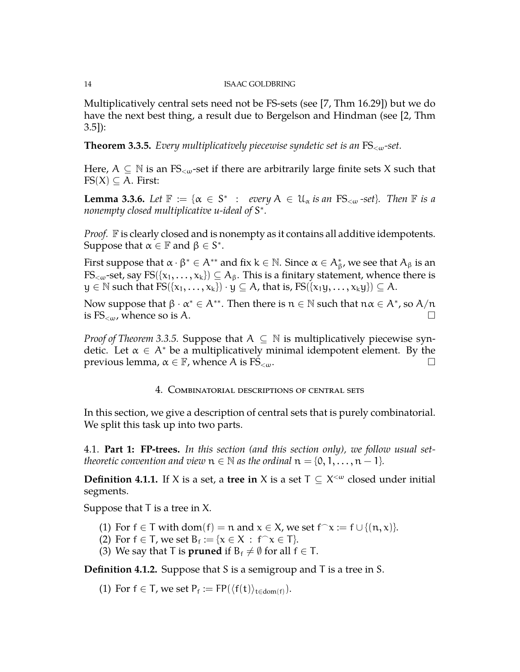Multiplicatively central sets need not be FS-sets (see [\[7,](#page-27-4) Thm 16.29]) but we do have the next best thing, a result due to Bergelson and Hindman (see [\[2,](#page-27-7) Thm 3.5]):

<span id="page-13-2"></span>**Theorem 3.3.5.** *Every multiplicatively piecewise syndetic set is an* FS<ω*-set.*

Here,  $A \subseteq \mathbb{N}$  is an FS<sub>< $\omega$ </sub>-set if there are arbitrarily large finite sets X such that  $FS(X) \subseteq A$ . First:

**Lemma 3.3.6.** *Let*  $\mathbb{F} := \{ \alpha \in S^* : \text{every } A \in \mathcal{U}_\alpha \text{ is an FS}_{\leq \omega} \text{ -set} \}.$  Then  $\mathbb{F}$  is a *nonempty closed multiplicative u-ideal of* S ∗ *.*

*Proof.* F is clearly closed and is nonempty as it contains all additive idempotents. Suppose that  $\alpha \in \mathbb{F}$  and  $\beta \in S^*$ .

First suppose that  $\alpha\cdot\beta^*\in A^{**}$  and fix  $k\in\mathbb{N}.$  Since  $\alpha\in A^*_\beta$ , we see that  $A_\beta$  is an  $FS_{\leq w}$ -set, say  $FS({x_1, \ldots, x_k}) \subseteq A_\beta$ . This is a finitary statement, whence there is  $y \in \mathbb{N}$  such that  $FS({x_1, \ldots, x_k}) \cdot y \subseteq A$ , that is,  $FS({x_1y, \ldots, x_ky}) \subseteq A$ .

Now suppose that  $\beta \cdot \alpha^* \in A^{**}$ . Then there is  $n \in \mathbb{N}$  such that  $n\alpha \in A^*$ , so  $A/n$ is  $FS_{\leq \omega}$ , whence so is A.

*Proof of Theorem* [3.3.5.](#page-13-2) Suppose that  $A \subseteq \mathbb{N}$  is multiplicatively piecewise syndetic. Let  $\alpha \in A^*$  be a multiplicatively minimal idempotent element. By the previous lemma,  $\alpha \in \mathbb{F}$ , whence A is FS<sub><ω</sub>.  $□$ 

# 4. Combinatorial descriptions of central sets

<span id="page-13-0"></span>In this section, we give a description of central sets that is purely combinatorial. We split this task up into two parts.

<span id="page-13-1"></span>4.1. **Part 1: FP-trees.** *In this section (and this section only), we follow usual settheoretic convention and view*  $n \in \mathbb{N}$  *as the ordinal*  $n = \{0, 1, \ldots, n - 1\}$ *.* 

**Definition 4.1.1.** If X is a set, a **tree in** X is a set  $T \subseteq X^{\lt \omega}$  closed under initial segments.

Suppose that  $T$  is a tree in  $X$ .

- (1) For  $f \in T$  with  $dom(f) = n$  and  $x \in X$ , we set  $f \cap x := f \cup \{(n, x)\}.$
- (2) For  $f \in T$ , we set  $B_f := \{x \in X : f^{\frown} x \in T\}$ .
- (3) We say that T is **pruned** if  $B_f \neq \emptyset$  for all  $f \in T$ .

**Definition 4.1.2.** Suppose that S is a semigroup and T is a tree in S.

(1) For  $f \in T$ , we set  $P_f := FP(\langle f(t) \rangle_{t \in dom(f)})$ .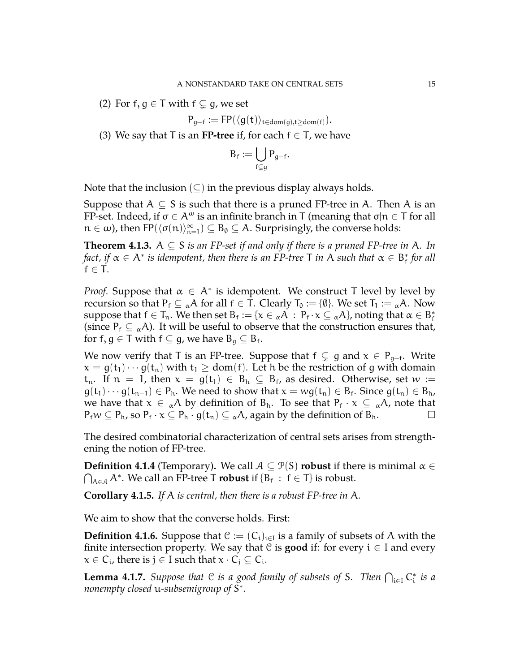(2) For f,  $g \in T$  with  $f \subsetneq g$ , we set

$$
P_{g-f} := FP(\langle g(t) \rangle_{t \in dom(g), t \geq dom(f)}).
$$

(3) We say that T is an **FP-tree** if, for each  $f \in T$ , we have

$$
B_f := \bigcup_{f \subsetneq g} P_{g-f}
$$

.

Note that the inclusion  $(\subseteq)$  in the previous display always holds.

Suppose that  $A \subseteq S$  is such that there is a pruned FP-tree in A. Then A is an FP-set. Indeed, if  $\sigma \in A^{\omega}$  is an infinite branch in T (meaning that  $\sigma | n \in T$  for all  $n \in \omega$ ), then FP( $\langle \sigma(n) \rangle_{n=1}^{\infty}$ )  $\subseteq$   $B_{\emptyset} \subseteq A$ . Surprisingly, the converse holds:

**Theorem 4.1.3.** A  $\subseteq$  S *is an FP-set if and only if there is a pruned FP-tree in* A. In fact, if  $\alpha \in A^*$  is idempotent, then there is an FP-tree T in A such that  $\alpha \in B^*_\mathrm{f}$  for all  $f \in T$ .

*Proof.* Suppose that  $\alpha \in A^*$  is idempotent. We construct T level by level by recursion so that  $P_f \subseteq {}_{\alpha}A$  for all  $f \in T$ . Clearly  $T_0 := {\emptyset}$ . We set  $T_1 := {}_{\alpha}A$ . Now suppose that  $f \in T_n$ . We then set  $B_f := \{x \in {}_{\alpha}A$  :  $P_f \cdot x \subseteq {}_{\alpha}A\}$ , noting that  $\alpha \in B_f^*$ (since  $P_f \subseteq \alpha A$ ). It will be useful to observe that the construction ensures that, for f,  $g \in T$  with  $f \subseteq g$ , we have  $B_g \subseteq B_f$ .

We now verify that T is an FP-tree. Suppose that  $f \subsetneq g$  and  $x \in P_{g-f}$ . Write  $x = g(t_1) \cdots g(t_n)$  with  $t_1 \geq dom(f)$ . Let h be the restriction of g with domain  $t_n$ . If  $n = 1$ , then  $x = g(t_1) \in B_h \subseteq B_f$ , as desired. Otherwise, set  $w :=$  $g(t_1)\cdots g(t_{n-1})\in P_h$ . We need to show that  $x=wg(t_n)\in B_f$ . Since  $g(t_n)\in B_h$ , we have that  $x \in \alpha A$  by definition of  $B_h$ . To see that  $P_f \cdot x \subseteq \alpha A$ , note that  $P_f w \subseteq P_h$ , so  $P_f \cdot x \subseteq P_h \cdot g(t_n) \subseteq {}_{\alpha}A$ , again by the definition of  $B_h$ .

The desired combinatorial characterization of central sets arises from strengthening the notion of FP-tree.

**Definition 4.1.4** (Temporary). We call  $A \subseteq \mathcal{P}(S)$  **robust** if there is minimal  $\alpha \in$  $\bigcap_{A \in \mathcal{A}} A^*$ . We call an FP-tree T **robust** if  $\{B_f : f \in T\}$  is robust.

**Corollary 4.1.5.** *If* A *is central, then there is a robust FP-tree in* A*.*

We aim to show that the converse holds. First:

**Definition 4.1.6.** Suppose that  $\mathcal{C} := (C_i)_{i \in I}$  is a family of subsets of A with the finite intersection property. We say that  $C$  is **good** if: for every  $i \in I$  and every  $x \in C_i$ , there is  $j \in I$  such that  $x \cdot C_j \subseteq C_i$ .

**Lemma 4.1.7.** Suppose that  $C$  is a good family of subsets of S. Then  $\bigcap_{i\in I} C_i^*$  is a *nonempty closed* u*-subsemigroup of* S ∗ *.*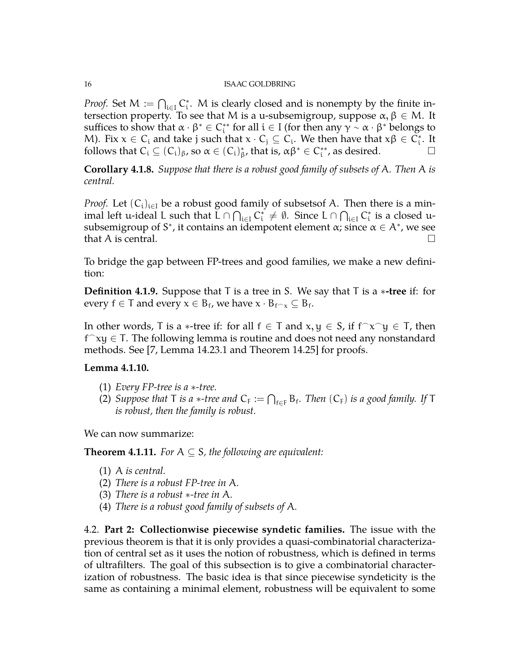*Proof.* Set  $M := \bigcap_{i \in I} C_i^*$ . M is clearly closed and is nonempty by the finite intersection property. To see that M is a u-subsemigroup, suppose  $\alpha, \beta \in M$ . It suffices to show that  $\alpha \cdot \beta^* \in C^{**}_i$  for all  $i \in I$  (for then any  $\gamma \sim \alpha \cdot \beta^*$  belongs to M). Fix  $x \in C_i$  and take j such that  $x \cdot C_j \subseteq C_i$ . We then have that  $x\beta \in C_i^*$ . It follows that  $C_i \subseteq (C_i)_{\beta}$ , so  $\alpha \in (C_i)_{\beta}^*$ , that is,  $\alpha \beta^* \in C_i^{**}$ , as desired.

**Corollary 4.1.8.** *Suppose that there is a robust good family of subsets of* A*. Then* A *is central.*

*Proof.* Let  $(C_i)_{i\in I}$  be a robust good family of subsetsof A. Then there is a minimal left u-ideal L such that  $\bar{L}\cap\bigcap_{i\in I}C^*_i\neq\emptyset$ . Since  $L\cap\bigcap_{i\in I}C^*_i$  is a closed usubsemigroup of S<sup>\*</sup>, it contains an idempotent element  $\alpha$ ; since  $\alpha \in A^*$ , we see that A is central.  $\square$ 

To bridge the gap between FP-trees and good families, we make a new definition:

**Definition 4.1.9.** Suppose that T is a tree in S. We say that T is a ∗**-tree** if: for every  $f \in T$  and every  $x \in B_f$ , we have  $x \cdot B_{f \cap x} \subseteq B_f$ .

In other words, T is a  $\ast$ -tree if: for all  $f \in T$  and  $x, y \in S$ , if  $f^{\frown}x^{\frown}y \in T$ , then  $f^{\frown}$ xy  $\in$  T. The following lemma is routine and does not need any nonstandard methods. See [\[7,](#page-27-4) Lemma 14.23.1 and Theorem 14.25] for proofs.

## **Lemma 4.1.10.**

- (1) *Every FP-tree is a* ∗*-tree.*
- (2) Suppose that T is a  $*$ -tree and  $C_F := \bigcap_{f \in F} B_f$ . Then  $(C_F)$  is a good family. If T *is robust, then the family is robust.*

We can now summarize:

**Theorem 4.1.11.** *For*  $A \subseteq S$ *, the following are equivalent:* 

- (1) A *is central.*
- (2) *There is a robust FP-tree in* A*.*
- (3) *There is a robust* ∗*-tree in* A*.*
- (4) *There is a robust good family of subsets of* A*.*

<span id="page-15-0"></span>4.2. **Part 2: Collectionwise piecewise syndetic families.** The issue with the previous theorem is that it is only provides a quasi-combinatorial characterization of central set as it uses the notion of robustness, which is defined in terms of ultrafilters. The goal of this subsection is to give a combinatorial characterization of robustness. The basic idea is that since piecewise syndeticity is the same as containing a minimal element, robustness will be equivalent to some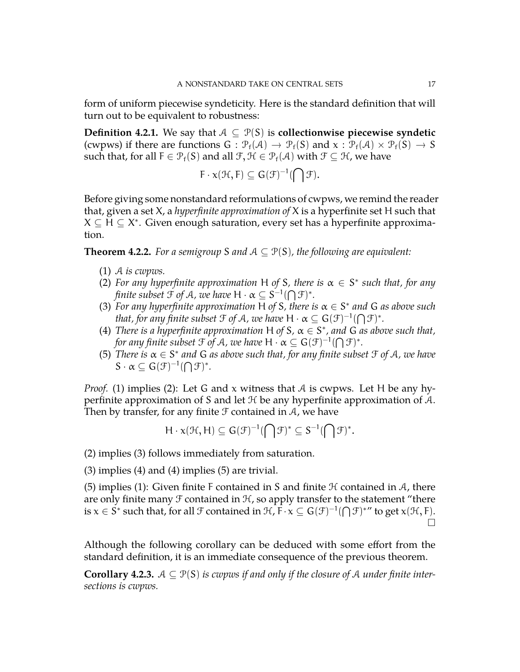form of uniform piecewise syndeticity. Here is the standard definition that will turn out to be equivalent to robustness:

**Definition 4.2.1.** We say that  $A \subseteq \mathcal{P}(S)$  is **collectionwise piecewise syndetic** (cwpws) if there are functions  $G : \mathcal{P}_f(\mathcal{A}) \to \mathcal{P}_f(S)$  and  $x : \mathcal{P}_f(\mathcal{A}) \times \mathcal{P}_f(S) \to S$ such that, for all  $F \in \mathcal{P}_f(S)$  and all  $\mathcal{F}, \mathcal{H} \in \mathcal{P}_f(\mathcal{A})$  with  $\mathcal{F} \subseteq \mathcal{H}$ , we have

$$
F\cdot \chi(\mathfrak{H},F)\subseteq G(\mathfrak{F})^{-1}(\bigcap \mathfrak{F}).
$$

Before giving some nonstandard reformulations of cwpws, we remind the reader that, given a set X, a *hyperfinite approximation of* X is a hyperfinite set H such that  $X \subseteq H \subseteq X^*$ . Given enough saturation, every set has a hyperfinite approximation.

<span id="page-16-0"></span>**Theorem 4.2.2.** *For a semigroup* S and  $A \subseteq \mathcal{P}(S)$ *, the following are equivalent:* 

- (1) A *is cwpws.*
- (2) For any hyperfinite approximation H of S, there is  $\alpha \in S^*$  such that, for any *finite subset*  $\mathfrak{F}$  *of A, we have*  $H \cdot \alpha \subseteq S^{-1}(\bigcap \mathfrak{F})^*.$
- (3) For any hyperfinite approximation H of S, there is  $\alpha \in S^*$  and G as above such *that, for any finite subset*  $\mathfrak{F}$  *of*  $\mathcal A$ *, we have*  $\mathsf H \cdot \alpha \subseteq \mathsf G(\mathfrak{F})^{-1}(\bigcap \mathfrak{F})^*.$
- (4) *There is a hyperfinite approximation* H *of* S,  $\alpha \in S^*$ , and G as above such that, for any finite subset  $\mathfrak{F}$  of  $\mathcal A$ *, we have*  $\mathsf H \cdot \alpha \subseteq \mathsf G(\mathfrak{F})^{-1}(\bigcap \mathfrak{F})^*.$
- (5) *There is* α ∈ S ∗ *and* G *as above such that, for any finite subset* F *of* A*, we have*  $S \cdot \alpha \subseteq G(\mathcal{F})^{-1}(\bigcap \mathcal{F})^*$ .

*Proof.* (1) implies (2): Let G and x witness that A is cwpws. Let H be any hyperfinite approximation of S and let  $H$  be any hyperfinite approximation of  $A$ . Then by transfer, for any finite  $\mathcal F$  contained in  $\mathcal A$ , we have

$$
H\cdot x(\mathcal{H},H)\subseteq G(\mathcal{F})^{-1}(\bigcap \mathcal{F})^*\subseteq S^{-1}(\bigcap \mathcal{F})^*.
$$

(2) implies (3) follows immediately from saturation.

(3) implies (4) and (4) implies (5) are trivial.

(5) implies (1): Given finite F contained in S and finite  $H$  contained in  $A$ , there are only finite many  $\mathcal F$  contained in  $\mathcal H$ , so apply transfer to the statement "there is  $x \in S^*$  such that, for all  $\mathcal F$  contained in  $\mathcal H$ ,  $F \cdot x \subseteq G(\mathcal F)^{-1}(\bigcap \mathcal F)^{*\prime\prime}$  to get  $x(\mathcal H, F)$ .  $\Box$ 

Although the following corollary can be deduced with some effort from the standard definition, it is an immediate consequence of the previous theorem.

**Corollary 4.2.3.**  $A \subseteq \mathcal{P}(S)$  *is cwpws if and only if the closure of A under finite intersections is cwpws.*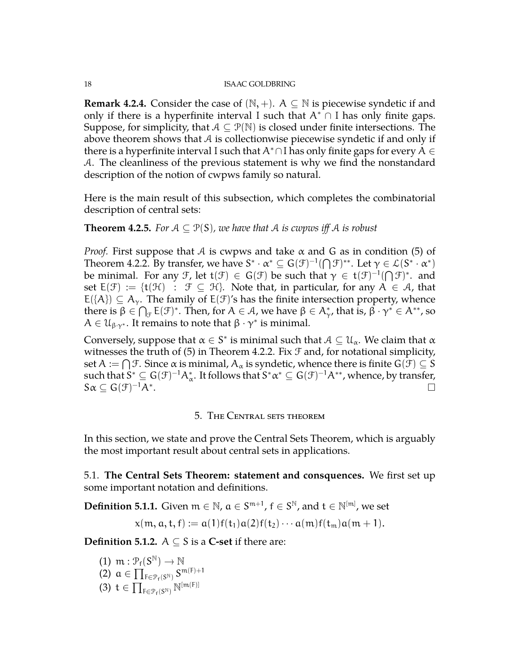**Remark 4.2.4.** Consider the case of  $(N, +)$ . A  $\subseteq N$  is piecewise syndetic if and only if there is a hyperfinite interval I such that  $A^* \cap I$  has only finite gaps. Suppose, for simplicity, that  $A \subseteq \mathcal{P}(\mathbb{N})$  is closed under finite intersections. The above theorem shows that  $A$  is collectionwise piecewise syndetic if and only if there is a hyperfinite interval I such that  $A^* \cap I$  has only finite gaps for every  $A \in$ A. The cleanliness of the previous statement is why we find the nonstandard description of the notion of cwpws family so natural.

Here is the main result of this subsection, which completes the combinatorial description of central sets:

# **Theorem 4.2.5.** *For*  $A \subseteq \mathcal{P}(S)$ *, we have that*  $A$  *is cwpws iff*  $A$  *is robust*

*Proof.* First suppose that  $A$  is cwpws and take  $\alpha$  and  $G$  as in condition (5) of Theorem [4.2.2.](#page-16-0) By transfer, we have  $S^* \cdot \alpha^* \subseteq G(\mathcal{F})^{-1}(\bigcap \mathcal{F})^{**}$ . Let  $\gamma \in \mathcal{L}(S^* \cdot \alpha^*)$ be minimal. For any F, let  $t(\mathcal{F}) \in G(\mathcal{F})$  be such that  $\gamma \in t(\mathcal{F})^{-1}(\bigcap \mathcal{F})^*$ . and set  $E(\mathcal{F}) := \{t(\mathcal{H}) : \mathcal{F} \subseteq \mathcal{H}\}\$ . Note that, in particular, for any  $A \in \mathcal{A}$ , that  $E({A}) \subseteq A_{\gamma}$ . The family of  $E(\mathcal{F})'$ s has the finite intersection property, whence there is  $\beta \in \bigcap_{\mathcal{F}} E(\mathcal{F})^*$ . Then, for  $A \in \mathcal{A}$ , we have  $\beta \in A^*_{\gamma}$ , that is,  $\beta \cdot \gamma^* \in A^{**}$ , so  $A \in \mathcal{U}_{\beta\gamma^*}$ . It remains to note that  $\beta \cdot \gamma^*$  is minimal.

Conversely, suppose that  $\alpha \in S^*$  is minimal such that  $\mathcal{A} \subseteq \mathcal{U}_\alpha$ . We claim that  $\alpha$ witnesses the truth of  $(5)$  in Theorem [4.2.2.](#page-16-0) Fix  $\mathcal F$  and, for notational simplicity, set  $\mathsf{A}:=\bigcap \mathcal{F}.$  Since  $\alpha$  is minimal,  $\mathsf{A}_\alpha$  is syndetic, whence there is finite  $\mathsf{G}(\mathcal{F})\subseteq \mathsf{S}$ such that  $S^*\subseteq G(\mathcal{F})^{-1}\mathcal{A}_\alpha^*.$  It follows that  $S^*\alpha^*\subseteq G(\mathcal{F})^{-1}\mathcal{A}^{**}$ , whence, by transfer,  $S\alpha \subseteq G(\mathcal{F})^{-1}A^*$ . Поставите на селото на селото на селото на селото на селото на селото на селото на селото на селото на селото<br>Населото на селото на селото на селото на селото на селото на селото на селото на селото на селото на селото

## 5. The Central sets theorem

<span id="page-17-0"></span>In this section, we state and prove the Central Sets Theorem, which is arguably the most important result about central sets in applications.

<span id="page-17-1"></span>5.1. **The Central Sets Theorem: statement and consquences.** We first set up some important notation and definitions.

**Definition 5.1.1.** Given  $\mathfrak{m} \in \mathbb{N}$ ,  $\mathfrak{a} \in S^{\mathfrak{m}+1}$ ,  $\mathfrak{f} \in S^{\mathbb{N}}$ , and  $\mathfrak{t} \in \mathbb{N}^{[\mathfrak{m}]}$ , we set

$$
x(m, a, t, f) := a(1)f(t_1)a(2)f(t_2)\cdots a(m)f(t_m)a(m+1).
$$

**Definition 5.1.2.**  $A \subseteq S$  is a **C-set** if there are:

- (1)  $m: \mathcal{P}_f(S^{\mathbb{N}}) \to \mathbb{N}$
- (2)  $\alpha \in \prod_{F \in \mathcal{P}_f(S^{\mathbb{N}})} S^{\mathfrak{m}(F)+1}$
- (3)  $t \in \prod_{F \in \mathcal{P}_f(S^{\mathbb{N}})} \mathbb{N}^{[m(F)]}$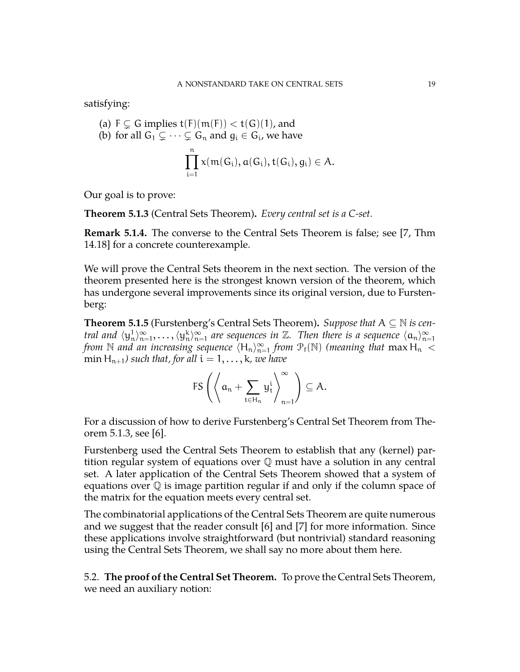satisfying:

(a) 
$$
F \subsetneq G
$$
 implies  $t(F)(m(F)) < t(G)(1)$ , and

(b) for all 
$$
G_1 \subsetneq \cdots \subsetneq G_n
$$
 and  $g_i \in G_i$ , we have

$$
\prod_{i=1}^n x(m(G_i),a(G_i),t(G_i),g_i)\in A.
$$

Our goal is to prove:

<span id="page-18-1"></span>**Theorem 5.1.3** (Central Sets Theorem)**.** *Every central set is a C-set.*

**Remark 5.1.4.** The converse to the Central Sets Theorem is false; see [\[7,](#page-27-4) Thm 14.18] for a concrete counterexample.

We will prove the Central Sets theorem in the next section. The version of the theorem presented here is the strongest known version of the theorem, which has undergone several improvements since its original version, due to Furstenberg:

**Theorem 5.1.5** (Furstenberg's Central Sets Theorem). *Suppose that*  $A \subseteq N$  *is central and*  $\langle y_n^1 \rangle_{n=1}^{\infty}, \ldots, \langle y_n^k \rangle_{n=1}^{\infty}$  *are sequences in*  $\mathbb{Z}$ *. Then there is a sequence*  $\langle a_n \rangle_{n=1}^{\infty}$ *from* N and an increasing sequence  $\langle H_n \rangle_{n=1}^{\infty}$  *from*  $\mathcal{P}_f(N)$  *(meaning that* max  $H_n <$ min H<sub>n+1</sub>) such that, for all  $i = 1, \ldots, k$ , we have

$$
\mathsf{FS}\left(\left\langle \alpha_n + \sum_{t\in \mathsf{H}_n} y_t^i \right\rangle_{n=1}^\infty\right) \subseteq A.
$$

For a discussion of how to derive Furstenberg's Central Set Theorem from Theorem [5.1.3,](#page-18-1) see [\[6\]](#page-27-5).

Furstenberg used the Central Sets Theorem to establish that any (kernel) partition regular system of equations over  $\mathbb Q$  must have a solution in any central set. A later application of the Central Sets Theorem showed that a system of equations over Q is image partition regular if and only if the column space of the matrix for the equation meets every central set.

The combinatorial applications of the Central Sets Theorem are quite numerous and we suggest that the reader consult [\[6\]](#page-27-5) and [\[7\]](#page-27-4) for more information. Since these applications involve straightforward (but nontrivial) standard reasoning using the Central Sets Theorem, we shall say no more about them here.

<span id="page-18-0"></span>5.2. **The proof of the Central Set Theorem.** To prove the Central Sets Theorem, we need an auxiliary notion: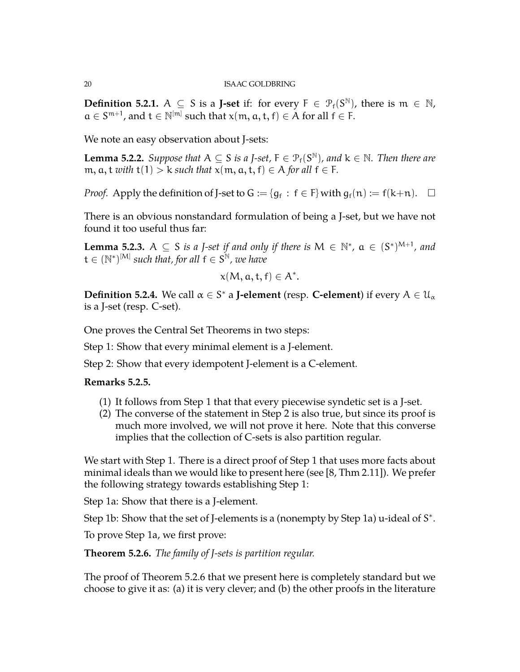**Definition 5.2.1.**  $A \subseteq S$  is a **J-set** if: for every  $F \in \mathcal{P}_f(S^{\mathbb{N}})$ , there is  $m \in \mathbb{N}$ ,  $a \in S^{m+1}$ , and  $t \in \mathbb{N}^{[m]}$  such that  $x(m, a, t, f) \in A$  for all  $f \in F$ .

We note an easy observation about J-sets:

**Lemma 5.2.2.** *Suppose that*  $A \subseteq S$  *is a J-set,*  $F \in \mathcal{P}_f(S^{\mathbb{N}})$ *, and*  $k \in \mathbb{N}$ *. Then there are* m,  $a, t$  *with*  $t(1) > k$  *such that*  $x(m, a, t, f) \in A$  *for all*  $f \in F$ *.* 

*Proof.* Apply the definition of J-set to  $G := \{g_f : f \in F\}$  with  $g_f(n) := f(k+n)$ .  $\Box$ 

There is an obvious nonstandard formulation of being a J-set, but we have not found it too useful thus far:

**Lemma 5.2.3.**  $A \subseteq S$  *is a J-set if and only if there is*  $M \in \mathbb{N}^*$ ,  $a \in (S^*)^{M+1}$ , and  $\mathsf{t} \in (\mathbb{N}^*)^{[\mathsf{M}]}$  such that, for all  $\mathsf{f} \in \mathsf{S}^{\mathbb{N}}$ , we have

$$
x(M, a, t, f) \in A^*.
$$

**Definition 5.2.4.** We call  $\alpha \in S^*$  a **J-element** (resp. **C-element**) if every  $A \in \mathcal{U}_\alpha$ is a J-set (resp. C-set).

One proves the Central Set Theorems in two steps:

Step 1: Show that every minimal element is a J-element.

Step 2: Show that every idempotent J-element is a C-element.

# **Remarks 5.2.5.**

- (1) It follows from Step 1 that that every piecewise syndetic set is a J-set.
- (2) The converse of the statement in Step 2 is also true, but since its proof is much more involved, we will not prove it here. Note that this converse implies that the collection of C-sets is also partition regular.

We start with Step 1. There is a direct proof of Step 1 that uses more facts about minimal ideals than we would like to present here (see [\[8,](#page-27-8) Thm 2.11]). We prefer the following strategy towards establishing Step 1:

Step 1a: Show that there is a J-element.

Step 1b: Show that the set of J-elements is a (nonempty by Step 1a) u-ideal of S<sup>\*</sup>.

To prove Step 1a, we first prove:

<span id="page-19-0"></span>**Theorem 5.2.6.** *The family of J-sets is partition regular.*

The proof of Theorem [5.2.6](#page-19-0) that we present here is completely standard but we choose to give it as: (a) it is very clever; and (b) the other proofs in the literature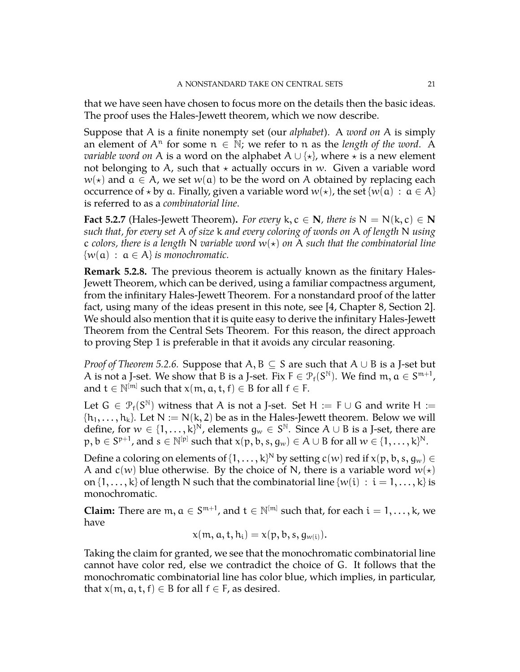that we have seen have chosen to focus more on the details then the basic ideas. The proof uses the Hales-Jewett theorem, which we now describe.

Suppose that A is a finite nonempty set (our *alphabet*). A *word on* A is simply an element of  $A^n$  for some  $n \in \mathbb{N}$ ; we refer to n as the *length of the word*. A *variable word on* A is a word on the alphabet  $A \cup \{ \star \}$ , where  $\star$  is a new element not belonging to A, such that  $\star$  actually occurs in w. Given a variable word  $w(\star)$  and  $\alpha \in A$ , we set  $w(\alpha)$  to be the word on A obtained by replacing each occurrence of  $\star$  by a. Finally, given a variable word  $w(\star)$ , the set { $w(\alpha)$  :  $\alpha \in A$ } is referred to as a *combinatorial line*.

**Fact 5.2.7** (Hales-Jewett Theorem). *For every*  $k, c \in \mathbb{N}$ *, there is*  $N = N(k, c) \in \mathbb{N}$ *such that, for every set* A *of size* k *and every coloring of words on* A *of length* N *using* c colors, there is a length N variable word  $w(*)$  on A such that the combinatorial line  $\{w(\mathfrak{a}) : \mathfrak{a} \in \mathcal{A}\}\$ is monochromatic.

**Remark 5.2.8.** The previous theorem is actually known as the finitary Hales-Jewett Theorem, which can be derived, using a familiar compactness argument, from the infinitary Hales-Jewett Theorem. For a nonstandard proof of the latter fact, using many of the ideas present in this note, see [\[4,](#page-27-1) Chapter 8, Section 2]. We should also mention that it is quite easy to derive the infinitary Hales-Jewett Theorem from the Central Sets Theorem. For this reason, the direct approach to proving Step 1 is preferable in that it avoids any circular reasoning.

*Proof of Theorem [5.2.6.](#page-19-0)* Suppose that A, B ⊆ S are such that A ∪ B is a J-set but A is not a J-set. We show that B is a J-set. Fix  $F \in \mathcal{P}_f(S^{\mathbb{N}})$ . We find  $m, a \in S^{m+1}$ , and  $t \in \mathbb{N}^{[m]}$  such that  $x(m, a, t, f) \in B$  for all  $f \in F$ .

Let  $G \in \mathcal{P}_f(S^{\mathbb{N}})$  witness that A is not a J-set. Set H := F  $\cup$  G and write H :=  $\{h_1, \ldots, h_k\}$ . Let  $N := N(k, 2)$  be as in the Hales-Jewett theorem. Below we will define, for  $w \in \{1, ..., k\}^N$ , elements  $g_w \in S^{\mathbb{N}}$ . Since  $A \cup B$  is a J-set, there are  $p, b \in S^{p+1}$ , and  $s \in \mathbb{N}^{[p]}$  such that  $x(p, b, s, g_w) \in A \cup B$  for all  $w \in \{1, \dots, k\}^{\mathbb{N}}$ .

Define a coloring on elements of  $\{1,\ldots,k\}^{\mathbb{N}}$  by setting  $\mathsf{c}(w)$  red if  $\mathsf{x}(\mathsf{p},\mathsf{b},\mathsf{s},\mathsf{g}_w) \in \mathsf{C}$ A and  $c(w)$  blue otherwise. By the choice of N, there is a variable word  $w(x)$ on  $\{1,\ldots,k\}$  of length N such that the combinatorial line  $\{w(i) : i = 1,\ldots,k\}$  is monochromatic.

**Claim:** There are  $m, a \in S^{m+1}$ , and  $t \in \mathbb{N}^{[m]}$  such that, for each  $i = 1, \ldots, k$ , we have

$$
x(m, a, t, h_i) = x(p, b, s, g_{w(i)}).
$$

Taking the claim for granted, we see that the monochromatic combinatorial line cannot have color red, else we contradict the choice of G. It follows that the monochromatic combinatorial line has color blue, which implies, in particular, that  $x(m, a, t, f) \in B$  for all  $f \in F$ , as desired.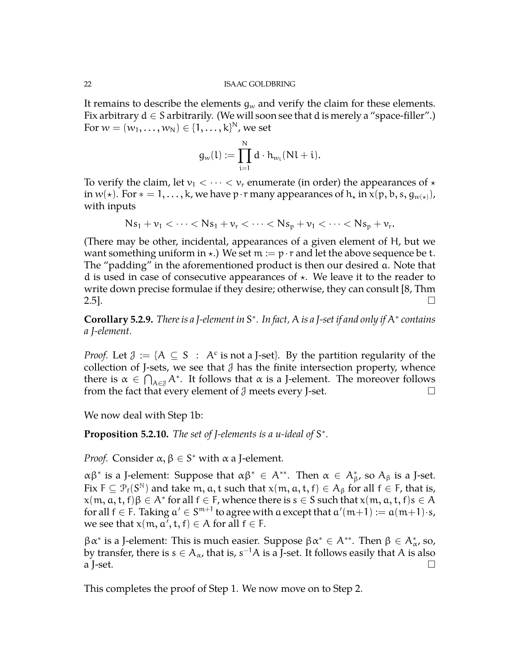It remains to describe the elements  $q_w$  and verify the claim for these elements. Fix arbitrary  $d \in S$  arbitrarily. (We will soon see that d is merely a "space-filler".) For  $w = (w_1, \ldots, w_N) \in \{1, \ldots, k\}^N$ , we set

$$
g_w(l):=\prod_{i=1}^N d\cdot h_{w_i}(Nl+i).
$$

To verify the claim, let  $v_1 < \cdots < v_r$  enumerate (in order) the appearances of  $\star$ in  $w(*)$ . For  $* = 1, ..., k$ , we have p·r many appearances of  $h_*$  in  $x(p, b, s, g_{w(*)})$ , with inputs

$$
Ns_1 + \nu_1 < \cdots < Ns_1 + \nu_r < \cdots < Ns_p + \nu_1 < \cdots < Ns_p + \nu_r
$$
.

(There may be other, incidental, appearances of a given element of H, but we want something uniform in  $\star$ .) We set  $m := p \cdot r$  and let the above sequence be t. The "padding" in the aforementioned product is then our desired a. Note that d is used in case of consecutive appearances of  $\star$ . We leave it to the reader to write down precise formulae if they desire; otherwise, they can consult [\[8,](#page-27-8) Thm  $2.5$ ].

**Corollary 5.2.9.** *There is a J-element in* S ∗ *. In fact,* A *is a J-set if and only if* A<sup>∗</sup> *contains a J-element.*

*Proof.* Let  $\mathcal{J} := \{ A \subseteq S : A^c \text{ is not a J-set} \}.$  By the partition regularity of the collection of J-sets, we see that  $\mathcal J$  has the finite intersection property, whence there is  $\alpha \in \bigcap_{A \in \mathcal{J}} A^*$ . It follows that  $\alpha$  is a J-element. The moreover follows from the fact that every element of  $\mathcal J$  meets every J-set.

We now deal with Step 1b:

Proposition 5.2.10. The set of *J*-elements is a u-ideal of S<sup>\*</sup>.

*Proof.* Consider  $\alpha, \beta \in S^*$  with  $\alpha$  a J-element.

αβ<sup>∗</sup> is a J-element: Suppose that  $\alpha\beta^*$  ∈ A<sup>\*\*</sup>. Then  $\alpha \in A_{\beta}^*$ , so  $A_{\beta}$  is a J-set. Fix  $F \subseteq \mathcal{P}_f(S^{\mathbb{N}})$  and take m, a, t such that  $x(m, a, t, f) \in A_\beta$  for all  $f \in F$ , that is,  $\mathsf{x}(\mathfrak{m},\mathfrak{a},\mathfrak{t},\mathfrak{f})\beta\in\mathsf{A}^*$  for all  $\mathfrak{f}\in\mathsf{F}$ , whence there is  $\mathfrak{s}\in\mathsf{S}$  such that  $\mathsf{x}(\mathfrak{m},\mathfrak{a},\mathfrak{t},\mathfrak{f})\mathfrak{s}\in\mathsf{A}$ for all  $f \in F$ . Taking  $a' \in S^{m+1}$  to agree with a except that  $a'(m+1) := a(m+1) \cdot s$ , we see that  $x(m, a', t, f) \in A$  for all  $f \in F$ .

 $\beta \alpha^*$  is a J-element: This is much easier. Suppose  $\beta \alpha^* \in A^{**}$ . Then  $\beta \in A^*_{\alpha}$ , so, by transfer, there is  $s \in A_\alpha$ , that is,  $s^{-1}A$  is a J-set. It follows easily that  $A$  is also a J-set.  $\Box$ 

This completes the proof of Step 1. We now move on to Step 2.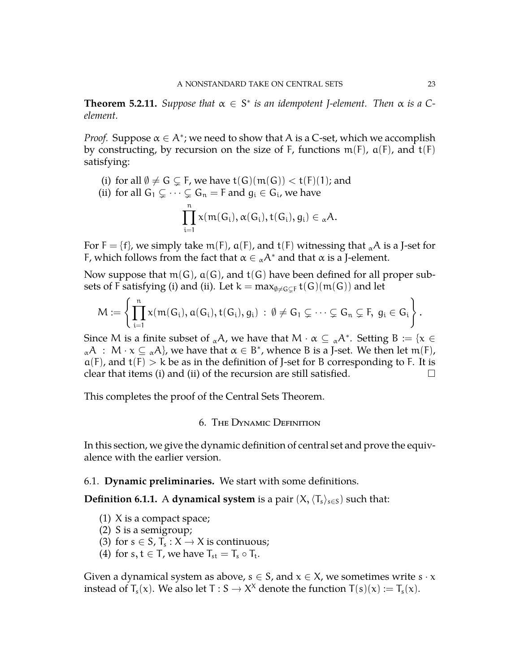**Theorem 5.2.11.** *Suppose that*  $\alpha \in S^*$  *is an idempotent J-element. Then*  $\alpha$  *is a* C*element.*

*Proof.* Suppose  $\alpha \in A^*$ ; we need to show that A is a C-set, which we accomplish by constructing, by recursion on the size of F, functions  $m(F)$ ,  $a(F)$ , and  $t(F)$ satisfying:

(i) for all  $\emptyset \neq G \subsetneq F$ , we have  $t(G)(m(G)) < t(F)(1)$ ; and

(ii) for all 
$$
G_1 \subsetneq \cdots \subsetneq G_n = F
$$
 and  $g_i \in G_i$ , we have  
\n
$$
\prod_{i=1}^n x(m(G_i), \alpha(G_i), t(G_i), g_i) \in {}_{\alpha}A.
$$

For  $F = \{f\}$ , we simply take m(F),  $\alpha(F)$ , and  $t(F)$  witnessing that  $_{\alpha}A$  is a J-set for F, which follows from the fact that  $\alpha \in {}_{\alpha}A^*$  and that  $\alpha$  is a J-element.

Now suppose that  $m(G)$ ,  $a(G)$ , and  $t(G)$  have been defined for all proper subsets of F satisfying (i) and (ii). Let  $k = max_{\emptyset \neq G \subseteq F} t(G)(m(G))$  and let

$$
M:=\left\{\prod_{i=1}^n x(m(G_i),a(G_i),t(G_i),g_i)\::\:\emptyset\neq G_1\subsetneq\cdots\subsetneq G_n\subsetneq F,\:g_i\in G_i\right\}.
$$

Since M is a finite subset of  ${}_{\alpha}A$ , we have that  $M \cdot \alpha \subseteq {}_{\alpha}A^*$ . Setting  $B := \{x \in A\}$  ${}_{\alpha}A$  :  $M \cdot x \subseteq {}_{\alpha}A$ , we have that  $\alpha \in B^*$ , whence B is a J-set. We then let m(F),  $a(F)$ , and  $t(F) > k$  be as in the definition of J-set for B corresponding to F. It is clear that items (i) and (ii) of the recursion are still satisfied.  $\Box$ 

<span id="page-22-0"></span>This completes the proof of the Central Sets Theorem.

## 6. The Dynamic Definition

In this section, we give the dynamic definition of central set and prove the equivalence with the earlier version.

## <span id="page-22-1"></span>6.1. **Dynamic preliminaries.** We start with some definitions.

**Definition 6.1.1.** A **dynamical system** is a pair  $(X, \langle T_s \rangle_{s \in S})$  such that:

- (1) X is a compact space;
- (2) S is a semigroup;
- (3) for  $s \in S$ ,  $T_s : X \to X$  is continuous;
- (4) for  $s, t \in T$ , we have  $T_{st} = T_s \circ T_t$ .

Given a dynamical system as above,  $s \in S$ , and  $x \in X$ , we sometimes write  $s \cdot x$ instead of  $T_s(x)$ . We also let T :  $S \to X^X$  denote the function  $T(s)(x) := T_s(x)$ .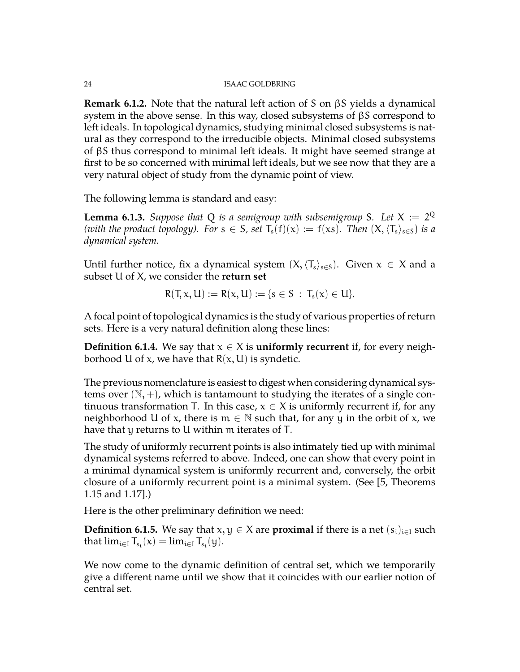**Remark 6.1.2.** Note that the natural left action of S on βS yields a dynamical system in the above sense. In this way, closed subsystems of βS correspond to left ideals. In topological dynamics, studying minimal closed subsystems is natural as they correspond to the irreducible objects. Minimal closed subsystems of βS thus correspond to minimal left ideals. It might have seemed strange at first to be so concerned with minimal left ideals, but we see now that they are a very natural object of study from the dynamic point of view.

The following lemma is standard and easy:

<span id="page-23-0"></span>**Lemma 6.1.3.** Suppose that Q is a semigroup with subsemigroup S. Let  $X := 2^Q$ *(with the product topology). For*  $s \in S$ *, set*  $T_s(f)(x) := f(xs)$ *. Then*  $(X, \langle T_s \rangle_{s \in S})$  *is a dynamical system.*

Until further notice, fix a dynamical system  $(X,\langle T_s\rangle_{s\in S})$ . Given  $x \in X$  and a subset U of X, we consider the **return set**

$$
R(T, x, U) := R(x, U) := \{s \in S \, : \, T_s(x) \in U\}.
$$

A focal point of topological dynamics is the study of various properties of return sets. Here is a very natural definition along these lines:

**Definition 6.1.4.** We say that  $x \in X$  is **uniformly recurrent** if, for every neighborhood U of x, we have that  $R(x, U)$  is syndetic.

The previous nomenclature is easiest to digest when considering dynamical systems over  $(N, +)$ , which is tantamount to studying the iterates of a single continuous transformation T. In this case,  $x \in X$  is uniformly recurrent if, for any neighborhood U of x, there is  $m \in \mathbb{N}$  such that, for any y in the orbit of x, we have that y returns to U within m iterates of T.

The study of uniformly recurrent points is also intimately tied up with minimal dynamical systems referred to above. Indeed, one can show that every point in a minimal dynamical system is uniformly recurrent and, conversely, the orbit closure of a uniformly recurrent point is a minimal system. (See [\[5,](#page-27-2) Theorems 1.15 and 1.17].)

Here is the other preliminary definition we need:

**Definition 6.1.5.** We say that  $x, y \in X$  are **proximal** if there is a net  $(s_i)_{i \in I}$  such that  $\lim_{i \in I} T_{s_i}(x) = \lim_{i \in I} T_{s_i}(y)$ .

We now come to the dynamic definition of central set, which we temporarily give a different name until we show that it coincides with our earlier notion of central set.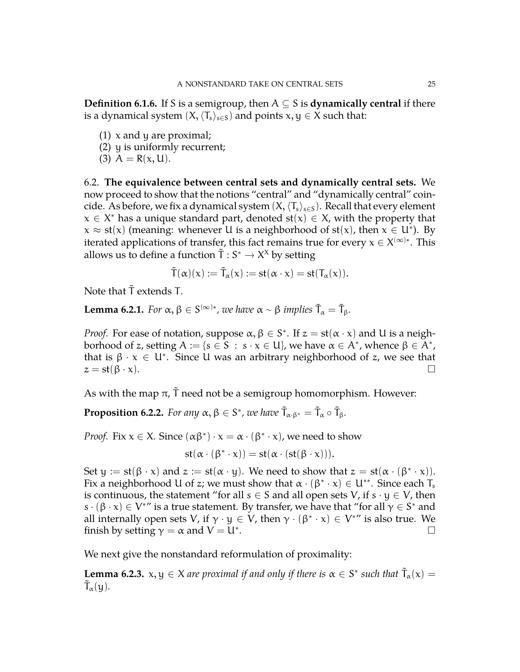**Definition 6.1.6.** If S is a semigroup, then  $A \subseteq S$  is **dynamically central** if there is a dynamical system  $(X, \langle T_s \rangle_{s \in S})$  and points  $x, y \in X$  such that:

- $(1)$  x and y are proximal;
- (2) y is uniformly recurrent;
- (3)  $A = R(x, U)$ .

<span id="page-24-0"></span>6.2. **The equivalence between central sets and dynamically central sets.** We now proceed to show that the notions "central" and "dynamically central" coincide. As before, we fix a dynamical system  $(X,\langle T_s\rangle_{s\in S})$ . Recall that every element  $x \in X^*$  has a unique standard part, denoted  $st(x) \in X$ , with the property that  $x \approx st(x)$  (meaning: whenever U is a neighborhood of  $st(x)$ , then  $x \in U^*$ ). By iterated applications of transfer, this fact remains true for every  $\mathsf{x} \in \mathsf{X}^{(\infty)*}.$  This allows us to define a function  $\tilde{T}: S^* \to X^X$  by setting

$$
\tilde T(\alpha)(x):=\tilde T_\alpha(x):=\text{st}(\alpha\cdot x)=\text{st}(T_\alpha(x)).
$$

Note that  $\tilde{T}$  extends T.

**Lemma 6.2.1.** *For*  $\alpha, \beta \in S^{(\infty)*}$ , we have  $\alpha \sim \beta$  *implies*  $\tilde{T}_{\alpha} = \tilde{T}_{\beta}$ *.* 

*Proof.* For ease of notation, suppose  $\alpha, \beta \in S^*$ . If  $z = st(\alpha \cdot x)$  and U is a neighborhood of z, setting  $A:=\{s\in \overline{S}\;:\;s\cdot x\in \mathsf{U}\}$ , we have  $\alpha\in A^*$ , whence  $\beta\in \overline{A^*}$ , that is  $\beta \cdot x \in U^*$ . Since U was an arbitrary neighborhood of z, we see that  $z = \operatorname{st}(\beta \cdot x).$ 

As with the map  $\pi$ ,  $\tilde{T}$  need not be a semigroup homomorphism. However:

**Proposition 6.2.2.** For any  $\alpha, \beta \in S^*$ , we have  $\tilde{T}_{\alpha \cdot \beta^*} = \tilde{T}_{\alpha} \circ \tilde{T}_{\beta}$ .

*Proof.* Fix  $x \in X$ . Since  $(\alpha \beta^*) \cdot x = \alpha \cdot (\beta^* \cdot x)$ , we need to show

$$
st(\alpha\cdot(\beta^*\cdot x))=st(\alpha\cdot(st(\beta\cdot x))).
$$

Set  $y := st(\beta \cdot x)$  and  $z := st(\alpha \cdot y)$ . We need to show that  $z = st(\alpha \cdot (\beta^* \cdot x))$ . Fix a neighborhood U of z; we must show that  $\alpha \cdot (\beta^* \cdot x) \in U^{**}$ . Since each T<sub>s</sub> is continuous, the statement "for all s  $\in$  S and all open sets V, if s  $\cdot$  y  $\in$  V, then  $s \cdot (\beta \cdot x) \in V^{*}$  is a true statement. By transfer, we have that "for all  $\gamma \in S^*$  and all internally open sets V, if  $\gamma \cdot y \in V$ , then  $\gamma \cdot (\beta^* \cdot x) \in V^{*\prime\prime}$  is also true. We finish by setting  $\gamma = \alpha$  and  $V = U^*$ . . В последните последните последните и при последните последните последните последните последните последните п<br>В последните последните последните последните последните последните последните последните последните последнит

We next give the nonstandard reformulation of proximality:

**Lemma 6.2.3.**  $x, y \in X$  are proximal if and only if there is  $\alpha \in S^*$  such that  $\tilde{T}_\alpha(x) =$  $\tilde{\mathsf{T}}_{\alpha}(\mathsf{y}).$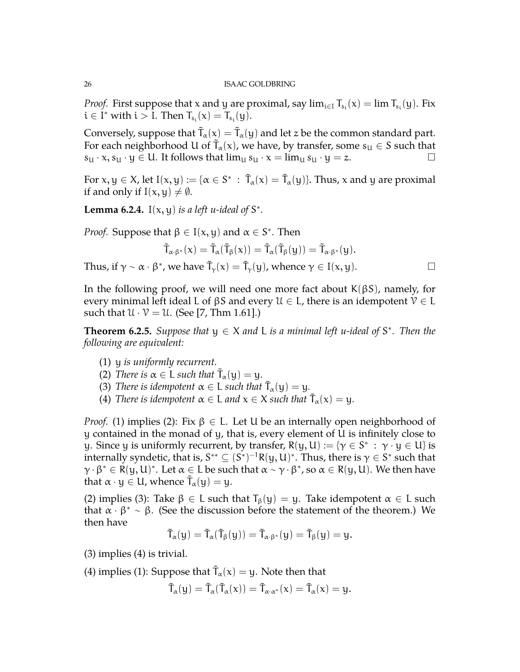*Proof.* First suppose that x and y are proximal, say  $\lim_{i \in I} T_{s_i}(x) = \lim T_{s_i}(y)$ . Fix  $i \in I^*$  with  $i > I$ . Then  $T_{s_i}(x) = T_{s_i}(y)$ .

Conversely, suppose that  $\tilde T_\alpha(\chi) = \tilde T_\alpha(\chi)$  and let z be the common standard part. For each neighborhood U of  $\tilde{\mathsf{T}}_\alpha(\mathsf{x})$ , we have, by transfer, some  $\mathsf{s}_\mathsf{U} \in \mathsf{S}$  such that  $s_{U} \cdot x, s_{U} \cdot y \in U$ . It follows that  $\lim_{U} s_{U} \cdot x = \lim_{U} s_{U} \cdot y = z$ .

For  $x, y \in X$ , let  $I(x, y) := \{ \alpha \in S^* \, : \, \tilde{T}_\alpha(x) = \tilde{T}_\alpha(y) \}$ . Thus,  $x$  and  $y$  are proximal if and only if  $I(x, y) \neq \emptyset$ .

**Lemma 6.2.4.** I( $x$ ,  $y$ ) *is a left u-ideal of*  $S^*$ .

*Proof.* Suppose that  $\beta \in I(x, y)$  and  $\alpha \in S^*$ . Then

$$
\tilde{T}_{\alpha\cdot\beta^*}(x)=\tilde{T}_{\alpha}(\tilde{T}_{\beta}(x))=\tilde{T}_{\alpha}(\tilde{T}_{\beta}(y))=\tilde{T}_{\alpha\cdot\beta^*}(y).
$$

Thus, if  $\gamma \sim \alpha \cdot \beta^*$ , we have  $\tilde{T}_\gamma(x) = \tilde{T}_\gamma(y)$ , whence  $\gamma \in I(x, y)$ .

In the following proof, we will need one more fact about  $K(\beta S)$ , namely, for every minimal left ideal L of  $\beta S$  and every  $\mathcal{U} \in L$ , there is an idempotent  $\mathcal{V} \in L$ such that  $\mathcal{U} \cdot \mathcal{V} = \mathcal{U}$ . (See [\[7,](#page-27-4) Thm 1.61].)

**Theorem 6.2.5.** Suppose that  $y \in X$  and L is a minimal left u-ideal of  $S^*$ . Then the *following are equivalent:*

- (1) y *is uniformly recurrent.*
- (2) *There is*  $\alpha \in L$  *such that*  $\tilde{T}_{\alpha}(y) = y$ *.*
- (3) *There is idempotent*  $\alpha \in L$  *such that*  $\tilde{T}_{\alpha}(y) = y$ *.*
- (4) *There is idempotent*  $\alpha \in L$  *and*  $x \in X$  *such that*  $\tilde{T}_{\alpha}(x) = y$ *.*

*Proof.* (1) implies (2): Fix  $\beta \in L$ . Let U be an internally open neighborhood of y contained in the monad of y, that is, every element of U is infinitely close to y. Since y is uniformly recurrent, by transfer,  $R(y, U) := \{ \gamma \in S^* \; : \; \gamma \cdot y \in U \}$  is internally syndetic, that is,  $S^{**} \subseteq (S^*)^{-1}R(y,U)^*.$  Thus, there is  $\gamma \in S^*$  such that  $\gamma \cdot \beta^* \in R(y, U)^*$ . Let  $\alpha \in L$  be such that  $\alpha \sim \gamma \cdot \beta^*$ , so  $\alpha \in R(y, U)$ . We then have that  $\alpha \cdot y \in U$ , whence  $\tilde{T}_{\alpha}(y) = y$ .

(2) implies (3): Take  $\beta \in L$  such that  $T_{\beta}(y) = y$ . Take idempotent  $\alpha \in L$  such that  $\alpha \cdot \beta^* \sim \beta$ . (See the discussion before the statement of the theorem.) We then have

$$
\tilde{T}_\alpha(y)=\tilde{T}_\alpha(\tilde{T}_\beta(y))=\tilde{T}_{\alpha\cdot\beta^*}(y)=\tilde{T}_\beta(y)=y.
$$

(3) implies (4) is trivial.

(4) implies (1): Suppose that  $\tilde{T}_\alpha(x) = y$ . Note then that

$$
\tilde{T}_{\alpha}(y)=\tilde{T}_{\alpha}(\tilde{T}_{\alpha}(x))=\tilde{T}_{\alpha\cdot\alpha^*}(x)=\tilde{T}_{\alpha}(x)=y.
$$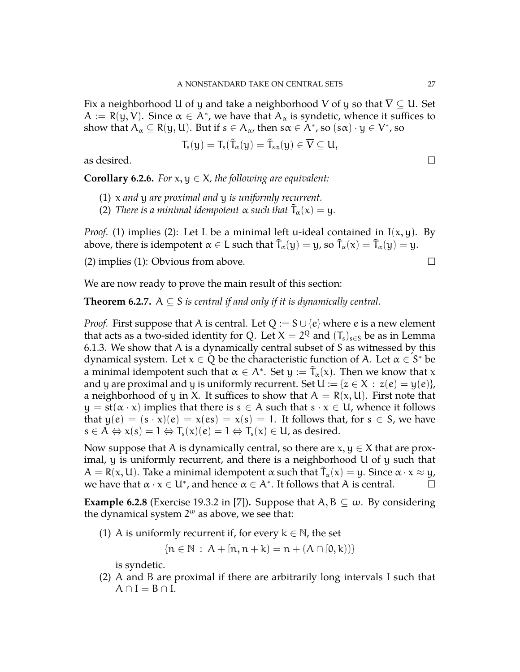Fix a neighborhood U of y and take a neighborhood V of y so that  $\overline{V} \subseteq U$ . Set  $A := R(y, V)$ . Since  $\alpha \in A^*$ , we have that  $A_\alpha$  is syndetic, whence it suffices to show that  $A_\alpha\subseteq R(y,U)$ . But if  $s\in A_\alpha$ , then  $s\alpha\in A^*$ , so  $(s\alpha)\cdot y\in V^*$ , so

$$
T_s(y)=T_s(\tilde{T}_{\alpha}(y)=\tilde{T}_{s\alpha}(y)\in \overline{V}\subseteq U,
$$

as desired.  $\Box$ 

**Corollary 6.2.6.** *For*  $x, y \in X$ *, the following are equivalent:* 

- (1) x *and* y *are proximal and* y *is uniformly recurrent.*
- (2) *There is a minimal idempotent*  $\alpha$  *such that*  $\tilde{T}_{\alpha}(x) = y$ *.*

*Proof.* (1) implies (2): Let L be a minimal left u-ideal contained in  $I(x, y)$ . By above, there is idempotent  $\alpha \in L$  such that  $\tilde{T}_{\alpha}(y) = y$ , so  $\tilde{T}_{\alpha}(x) = \tilde{T}_{\alpha}(y) = y$ .

(2) implies (1): Obvious from above.  $\square$ 

We are now ready to prove the main result of this section:

**Theorem 6.2.7.**  $A \subseteq S$  *is central if and only if it is dynamically central.* 

*Proof.* First suppose that A is central. Let  $Q := S \cup \{e\}$  where e is a new element that acts as a two-sided identity for Q. Let  $X=2^Q$  and  $(T_s)_{s\in S}$  be as in Lemma [6.1.3.](#page-23-0) We show that A is a dynamically central subset of S as witnessed by this dynamical system. Let  $x \in \overline{Q}$  be the characteristic function of A. Let  $\alpha \in S^*$  be a minimal idempotent such that  $\alpha \in A^*.$  Set  $y := \tilde{T}_\alpha(\mathrm{x}).$  Then we know that  $\mathrm{x}$ and y are proximal and y is uniformly recurrent. Set  $U := \{z \in X : z(e) = y(e)\},\}$ a neighborhood of y in X. It suffices to show that  $A = R(x, U)$ . First note that  $y = st(\alpha \cdot x)$  implies that there is  $s \in A$  such that  $s \cdot x \in U$ , whence it follows that  $y(e) = (s \cdot x)(e) = x(es) = x(s) = 1$ . It follows that, for  $s \in S$ , we have  $s \in A \Leftrightarrow x(s) = 1 \Leftrightarrow T_s(x)(e) = 1 \Leftrightarrow T_s(x) \in U$ , as desired.

Now suppose that A is dynamically central, so there are  $x, y \in X$  that are proximal, y is uniformly recurrent, and there is a neighborhood U of y such that  $A = R(x, U)$ . Take a minimal idempotent  $\alpha$  such that  $\tilde{T}_{\alpha}(x) = y$ . Since  $\alpha \cdot x \approx y$ , we have that  $\alpha \cdot x \in U^*$ , and hence  $\alpha \in A^*$ . It follows that A is central.

**Example 6.2.8** (Exercise 19.3.2 in [\[7\]](#page-27-4)). Suppose that  $A, B \subseteq \omega$ . By considering the dynamical system  $2^{\omega}$  as above, we see that:

(1) A is uniformly recurrent if, for every  $k \in \mathbb{N}$ , the set

$$
\{n \in \mathbb{N} \,:\, A + [n, n + k) = n + (A \cap [0, k))\}
$$

is syndetic.

(2) A and B are proximal if there are arbitrarily long intervals I such that  $A \cap I = B \cap I$ .